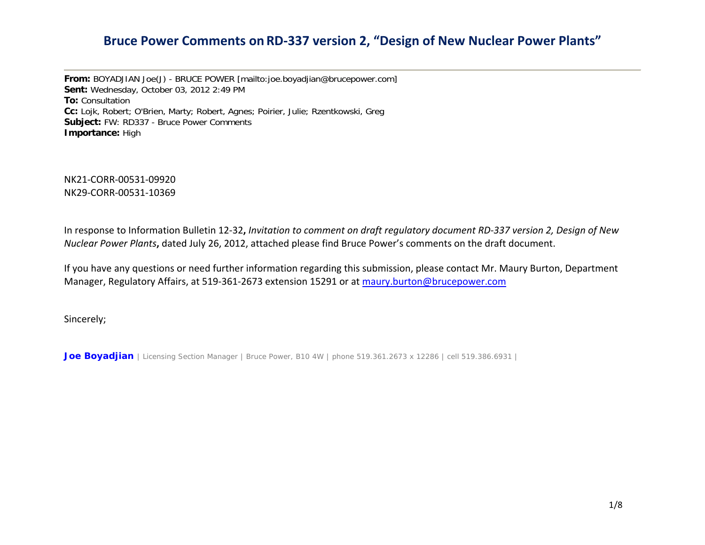**From:** BOYADJIAN Joe(J) - BRUCE POWER [mailto:joe.boyadjian@brucepower.com] **Sent:** Wednesday, October 03, 2012 2:49 PM **To:** Consultation **Cc:** Lojk, Robert; O'Brien, Marty; Robert, Agnes; Poirier, Julie; Rzentkowski, Greg **Subject:** FW: RD337 - Bruce Power Comments **Importance:** High

NK21‐CORR‐00531‐09920NK29‐CORR‐00531‐10369

In response to Information Bulletin 12-32, *Invitation to comment on draft regulatory document RD-337 version 2, Design of New Nuclear Power Plants***,** dated July 26, 2012, attached please find Bruce Power's comments on the draft document.

If you have any questions or need further information regarding this submission, please contact Mr. Maury Burton, Department Manager, Regulatory Affairs, at 519-361-2673 extension 15291 or at [maury.burton@brucepower.com](mailto:maury.burton@brucepower.com)

Sincerely;

*Joe Boyadjian* | Licensing Section Manager | Bruce Power, B10 4W | phone 519.361.2673 x 12286 | cell 519.386.6931 |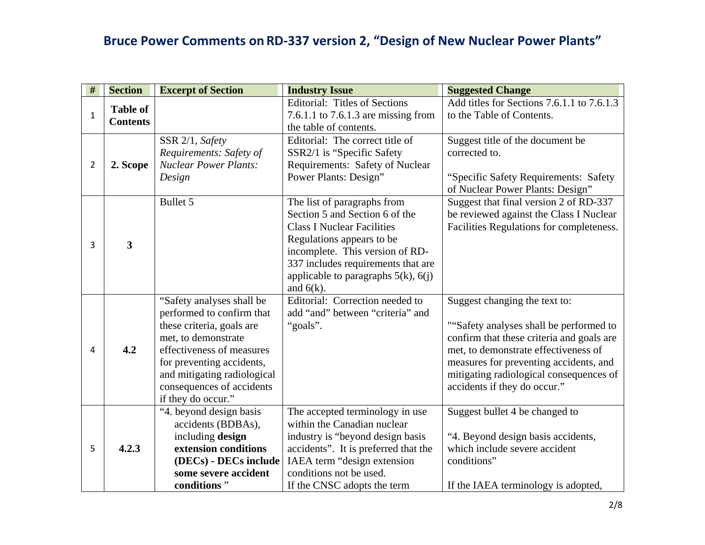| $\#$           | <b>Section</b>  | <b>Excerpt of Section</b>                              | <b>Industry Issue</b>                           | <b>Suggested Change</b>                    |
|----------------|-----------------|--------------------------------------------------------|-------------------------------------------------|--------------------------------------------|
|                | <b>Table of</b> |                                                        | <b>Editorial: Titles of Sections</b>            | Add titles for Sections 7.6.1.1 to 7.6.1.3 |
| $\mathbf{1}$   | <b>Contents</b> |                                                        | 7.6.1.1 to 7.6.1.3 are missing from             | to the Table of Contents.                  |
|                |                 |                                                        | the table of contents.                          |                                            |
|                |                 | SSR 2/1, Safety                                        | Editorial: The correct title of                 | Suggest title of the document be           |
|                |                 | Requirements: Safety of                                | SSR2/1 is "Specific Safety"                     | corrected to.                              |
| $\overline{2}$ | 2. Scope        | <b>Nuclear Power Plants:</b>                           | Requirements: Safety of Nuclear                 |                                            |
|                |                 | Design                                                 | Power Plants: Design"                           | "Specific Safety Requirements: Safety      |
|                |                 |                                                        |                                                 | of Nuclear Power Plants: Design"           |
|                |                 | Bullet 5                                               | The list of paragraphs from                     | Suggest that final version 2 of RD-337     |
|                |                 |                                                        | Section 5 and Section 6 of the                  | be reviewed against the Class I Nuclear    |
|                |                 |                                                        | <b>Class I Nuclear Facilities</b>               | Facilities Regulations for completeness.   |
| 3              | 3               |                                                        | Regulations appears to be                       |                                            |
|                |                 |                                                        | incomplete. This version of RD-                 |                                            |
|                |                 |                                                        | 337 includes requirements that are              |                                            |
|                |                 |                                                        | applicable to paragraphs $5(k)$ , $6(j)$        |                                            |
|                |                 |                                                        | and $6(k)$ .<br>Editorial: Correction needed to |                                            |
|                |                 | "Safety analyses shall be<br>performed to confirm that | add "and" between "criteria" and                | Suggest changing the text to:              |
|                |                 | these criteria, goals are                              | "goals".                                        | ""Safety analyses shall be performed to    |
|                |                 | met, to demonstrate                                    |                                                 | confirm that these criteria and goals are  |
| 4              | 4.2             | effectiveness of measures                              |                                                 | met, to demonstrate effectiveness of       |
|                |                 | for preventing accidents,                              |                                                 | measures for preventing accidents, and     |
|                |                 | and mitigating radiological                            |                                                 | mitigating radiological consequences of    |
|                |                 | consequences of accidents                              |                                                 | accidents if they do occur."               |
|                |                 | if they do occur."                                     |                                                 |                                            |
|                |                 | "4. beyond design basis                                | The accepted terminology in use                 | Suggest bullet 4 be changed to             |
|                |                 | accidents (BDBAs),                                     | within the Canadian nuclear                     |                                            |
|                |                 | including design                                       | industry is "beyond design basis"               | "4. Beyond design basis accidents,         |
| 5              | 4.2.3           | extension conditions                                   | accidents". It is preferred that the            | which include severe accident              |
|                |                 | (DECs) - DECs include                                  | IAEA term "design extension                     | conditions"                                |
|                |                 | some severe accident                                   | conditions not be used.                         |                                            |
|                |                 | conditions"                                            | If the CNSC adopts the term                     | If the IAEA terminology is adopted,        |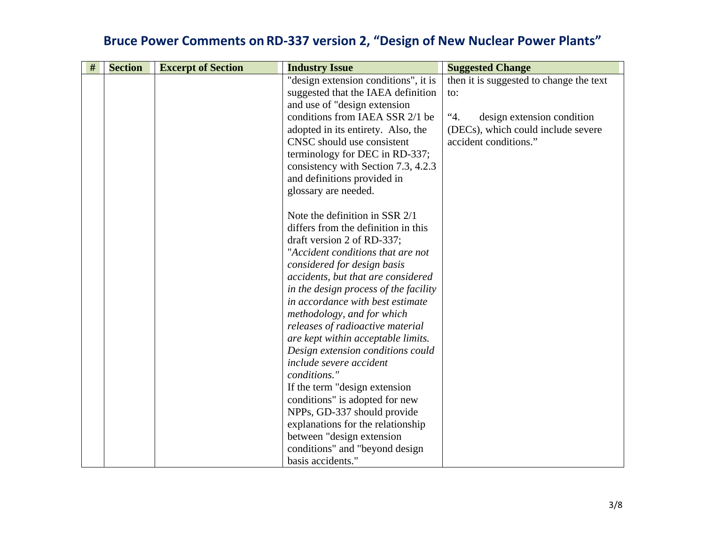| $\#$ | <b>Section</b> | <b>Excerpt of Section</b> | <b>Industry Issue</b>                 | <b>Suggested Change</b>                 |
|------|----------------|---------------------------|---------------------------------------|-----------------------------------------|
|      |                |                           | "design extension conditions", it is  | then it is suggested to change the text |
|      |                |                           | suggested that the IAEA definition    | to:                                     |
|      |                |                           | and use of "design extension"         |                                         |
|      |                |                           | conditions from IAEA SSR 2/1 be       | 4.4<br>design extension condition       |
|      |                |                           | adopted in its entirety. Also, the    | (DECs), which could include severe      |
|      |                |                           | CNSC should use consistent            | accident conditions."                   |
|      |                |                           | terminology for DEC in RD-337;        |                                         |
|      |                |                           | consistency with Section 7.3, 4.2.3   |                                         |
|      |                |                           | and definitions provided in           |                                         |
|      |                |                           | glossary are needed.                  |                                         |
|      |                |                           |                                       |                                         |
|      |                |                           | Note the definition in SSR 2/1        |                                         |
|      |                |                           | differs from the definition in this   |                                         |
|      |                |                           | draft version 2 of RD-337;            |                                         |
|      |                |                           | "Accident conditions that are not     |                                         |
|      |                |                           | considered for design basis           |                                         |
|      |                |                           | accidents, but that are considered    |                                         |
|      |                |                           | in the design process of the facility |                                         |
|      |                |                           | in accordance with best estimate      |                                         |
|      |                |                           | methodology, and for which            |                                         |
|      |                |                           | releases of radioactive material      |                                         |
|      |                |                           | are kept within acceptable limits.    |                                         |
|      |                |                           | Design extension conditions could     |                                         |
|      |                |                           | include severe accident               |                                         |
|      |                |                           | conditions."                          |                                         |
|      |                |                           | If the term "design extension"        |                                         |
|      |                |                           | conditions" is adopted for new        |                                         |
|      |                |                           | NPPs, GD-337 should provide           |                                         |
|      |                |                           | explanations for the relationship     |                                         |
|      |                |                           | between "design extension"            |                                         |
|      |                |                           | conditions" and "beyond design        |                                         |
|      |                |                           | basis accidents."                     |                                         |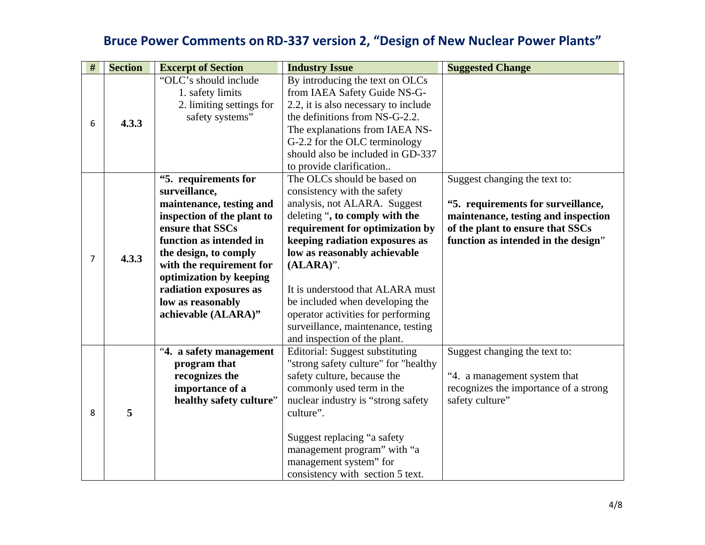| $\#$ | <b>Section</b>                                                                                                                                                                                                                                                                               | <b>Excerpt of Section</b>  | <b>Industry Issue</b>                | <b>Suggested Change</b>                                                                                                                                                                                                                                                                                            |
|------|----------------------------------------------------------------------------------------------------------------------------------------------------------------------------------------------------------------------------------------------------------------------------------------------|----------------------------|--------------------------------------|--------------------------------------------------------------------------------------------------------------------------------------------------------------------------------------------------------------------------------------------------------------------------------------------------------------------|
| 6    |                                                                                                                                                                                                                                                                                              | "OLC's should include      | By introducing the text on OLCs      |                                                                                                                                                                                                                                                                                                                    |
|      |                                                                                                                                                                                                                                                                                              | 1. safety limits           | from IAEA Safety Guide NS-G-         | Suggest changing the text to:<br>"5. requirements for surveillance,<br>maintenance, testing and inspection<br>of the plant to ensure that SSCs<br>function as intended in the design"<br>Suggest changing the text to:<br>"4. a management system that<br>recognizes the importance of a strong<br>safety culture" |
|      |                                                                                                                                                                                                                                                                                              | 2. limiting settings for   | 2.2, it is also necessary to include |                                                                                                                                                                                                                                                                                                                    |
|      | 4.3.3                                                                                                                                                                                                                                                                                        | safety systems"            | the definitions from NS-G-2.2.       |                                                                                                                                                                                                                                                                                                                    |
|      |                                                                                                                                                                                                                                                                                              |                            | The explanations from IAEA NS-       |                                                                                                                                                                                                                                                                                                                    |
|      |                                                                                                                                                                                                                                                                                              |                            | G-2.2 for the OLC terminology        |                                                                                                                                                                                                                                                                                                                    |
|      |                                                                                                                                                                                                                                                                                              |                            | should also be included in GD-337    |                                                                                                                                                                                                                                                                                                                    |
|      |                                                                                                                                                                                                                                                                                              |                            | to provide clarification             |                                                                                                                                                                                                                                                                                                                    |
|      |                                                                                                                                                                                                                                                                                              | "5. requirements for       | The OLCs should be based on          |                                                                                                                                                                                                                                                                                                                    |
|      |                                                                                                                                                                                                                                                                                              | surveillance,              | consistency with the safety          |                                                                                                                                                                                                                                                                                                                    |
|      |                                                                                                                                                                                                                                                                                              | maintenance, testing and   | analysis, not ALARA. Suggest         |                                                                                                                                                                                                                                                                                                                    |
|      |                                                                                                                                                                                                                                                                                              | inspection of the plant to | deleting ", to comply with the       |                                                                                                                                                                                                                                                                                                                    |
|      |                                                                                                                                                                                                                                                                                              | ensure that SSCs           | requirement for optimization by      |                                                                                                                                                                                                                                                                                                                    |
|      |                                                                                                                                                                                                                                                                                              | function as intended in    | keeping radiation exposures as       |                                                                                                                                                                                                                                                                                                                    |
| 7    | 4.3.3                                                                                                                                                                                                                                                                                        | the design, to comply      | low as reasonably achievable         |                                                                                                                                                                                                                                                                                                                    |
|      | with the requirement for<br>$(ALARA)$ ".<br>optimization by keeping<br>radiation exposures as<br>It is understood that ALARA must<br>low as reasonably<br>be included when developing the<br>achievable (ALARA)"<br>operator activities for performing<br>surveillance, maintenance, testing |                            |                                      |                                                                                                                                                                                                                                                                                                                    |
|      |                                                                                                                                                                                                                                                                                              |                            |                                      |                                                                                                                                                                                                                                                                                                                    |
|      |                                                                                                                                                                                                                                                                                              |                            |                                      |                                                                                                                                                                                                                                                                                                                    |
|      |                                                                                                                                                                                                                                                                                              |                            |                                      |                                                                                                                                                                                                                                                                                                                    |
|      |                                                                                                                                                                                                                                                                                              |                            |                                      |                                                                                                                                                                                                                                                                                                                    |
|      |                                                                                                                                                                                                                                                                                              |                            |                                      |                                                                                                                                                                                                                                                                                                                    |
|      |                                                                                                                                                                                                                                                                                              |                            | and inspection of the plant.         |                                                                                                                                                                                                                                                                                                                    |
|      |                                                                                                                                                                                                                                                                                              | "4. a safety management    | Editorial: Suggest substituting      |                                                                                                                                                                                                                                                                                                                    |
|      |                                                                                                                                                                                                                                                                                              | program that               | "strong safety culture" for "healthy |                                                                                                                                                                                                                                                                                                                    |
|      |                                                                                                                                                                                                                                                                                              | recognizes the             | safety culture, because the          |                                                                                                                                                                                                                                                                                                                    |
|      |                                                                                                                                                                                                                                                                                              | importance of a            | commonly used term in the            |                                                                                                                                                                                                                                                                                                                    |
|      |                                                                                                                                                                                                                                                                                              | healthy safety culture"    | nuclear industry is "strong safety"  |                                                                                                                                                                                                                                                                                                                    |
| 8    | 5                                                                                                                                                                                                                                                                                            |                            | culture".                            |                                                                                                                                                                                                                                                                                                                    |
|      |                                                                                                                                                                                                                                                                                              |                            |                                      |                                                                                                                                                                                                                                                                                                                    |
|      |                                                                                                                                                                                                                                                                                              |                            | Suggest replacing "a safety          |                                                                                                                                                                                                                                                                                                                    |
|      |                                                                                                                                                                                                                                                                                              |                            | management program" with "a          |                                                                                                                                                                                                                                                                                                                    |
|      |                                                                                                                                                                                                                                                                                              |                            | management system" for               |                                                                                                                                                                                                                                                                                                                    |
|      |                                                                                                                                                                                                                                                                                              |                            | consistency with section 5 text.     |                                                                                                                                                                                                                                                                                                                    |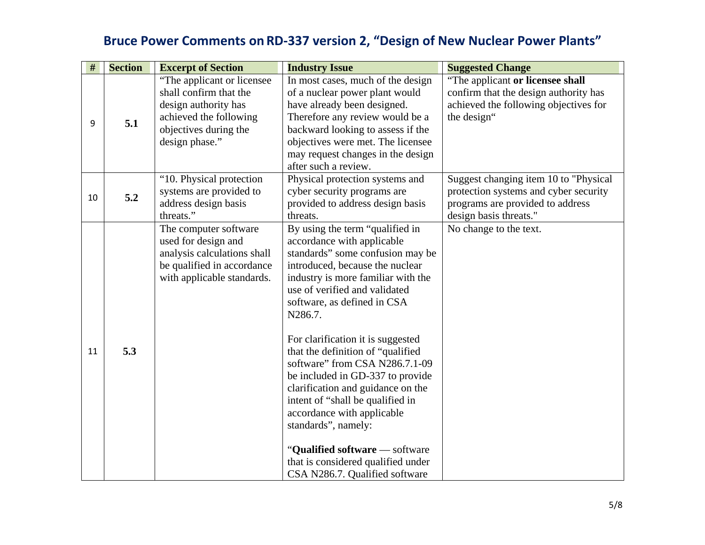| #  | <b>Section</b> | <b>Excerpt of Section</b>                                                                                                                          | <b>Industry Issue</b>                                                                                                                                                                                                                                                                                                                                                                                                                                                                                                                                                                                                                         | <b>Suggested Change</b>                                                                                                                       |
|----|----------------|----------------------------------------------------------------------------------------------------------------------------------------------------|-----------------------------------------------------------------------------------------------------------------------------------------------------------------------------------------------------------------------------------------------------------------------------------------------------------------------------------------------------------------------------------------------------------------------------------------------------------------------------------------------------------------------------------------------------------------------------------------------------------------------------------------------|-----------------------------------------------------------------------------------------------------------------------------------------------|
| 9  | 5.1            | "The applicant or licensee"<br>shall confirm that the<br>design authority has<br>achieved the following<br>objectives during the<br>design phase." | In most cases, much of the design<br>of a nuclear power plant would<br>have already been designed.<br>Therefore any review would be a<br>backward looking to assess if the<br>objectives were met. The licensee<br>may request changes in the design<br>after such a review.                                                                                                                                                                                                                                                                                                                                                                  | "The applicant or licensee shall<br>confirm that the design authority has<br>achieved the following objectives for<br>the design"             |
| 10 | 5.2            | "10. Physical protection<br>systems are provided to<br>address design basis<br>threats."                                                           | Physical protection systems and<br>cyber security programs are<br>provided to address design basis<br>threats.                                                                                                                                                                                                                                                                                                                                                                                                                                                                                                                                | Suggest changing item 10 to "Physical"<br>protection systems and cyber security<br>programs are provided to address<br>design basis threats." |
| 11 | 5.3            | The computer software<br>used for design and<br>analysis calculations shall<br>be qualified in accordance<br>with applicable standards.            | By using the term "qualified in<br>accordance with applicable<br>standards" some confusion may be<br>introduced, because the nuclear<br>industry is more familiar with the<br>use of verified and validated<br>software, as defined in CSA<br>N286.7.<br>For clarification it is suggested<br>that the definition of "qualified<br>software" from CSA N286.7.1-09<br>be included in GD-337 to provide<br>clarification and guidance on the<br>intent of "shall be qualified in<br>accordance with applicable<br>standards", namely:<br>"Qualified software - software<br>that is considered qualified under<br>CSA N286.7. Qualified software | No change to the text.                                                                                                                        |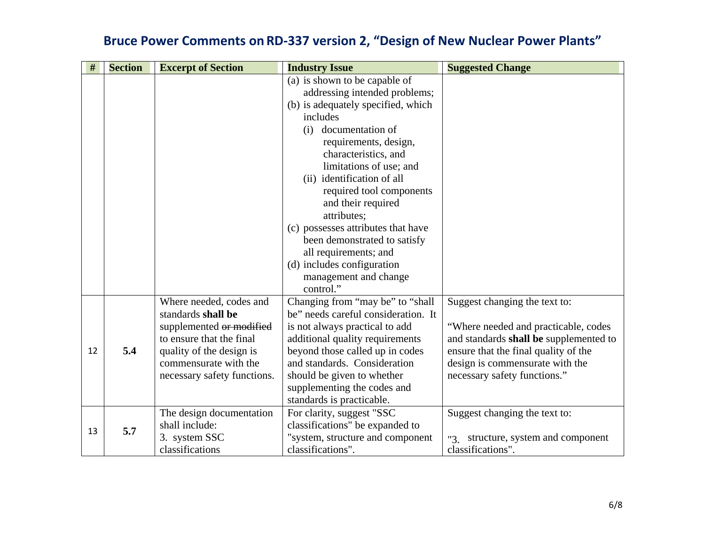| $\#$ | <b>Section</b> | <b>Excerpt of Section</b>                                                                                                                                                                 | <b>Industry Issue</b>                                                                                                                                                                                                                                                                                                                                                                                                                                                                     | <b>Suggested Change</b>                                                                                                                                                                                                    |
|------|----------------|-------------------------------------------------------------------------------------------------------------------------------------------------------------------------------------------|-------------------------------------------------------------------------------------------------------------------------------------------------------------------------------------------------------------------------------------------------------------------------------------------------------------------------------------------------------------------------------------------------------------------------------------------------------------------------------------------|----------------------------------------------------------------------------------------------------------------------------------------------------------------------------------------------------------------------------|
|      |                |                                                                                                                                                                                           | (a) is shown to be capable of<br>addressing intended problems;<br>(b) is adequately specified, which<br>includes<br>documentation of<br>(i)<br>requirements, design,<br>characteristics, and<br>limitations of use; and<br>(ii) identification of all<br>required tool components<br>and their required<br>attributes;<br>(c) possesses attributes that have<br>been demonstrated to satisfy<br>all requirements; and<br>(d) includes configuration<br>management and change<br>control." |                                                                                                                                                                                                                            |
| 12   | 5.4            | Where needed, codes and<br>standards shall be<br>supplemented or modified<br>to ensure that the final<br>quality of the design is<br>commensurate with the<br>necessary safety functions. | Changing from "may be" to "shall<br>be" needs careful consideration. It<br>is not always practical to add<br>additional quality requirements<br>beyond those called up in codes<br>and standards. Consideration<br>should be given to whether<br>supplementing the codes and<br>standards is practicable.                                                                                                                                                                                 | Suggest changing the text to:<br>"Where needed and practicable, codes<br>and standards shall be supplemented to<br>ensure that the final quality of the<br>design is commensurate with the<br>necessary safety functions." |
| 13   | 5.7            | The design documentation<br>shall include:<br>3. system SSC<br>classifications                                                                                                            | For clarity, suggest "SSC<br>classifications" be expanded to<br>"system, structure and component<br>classifications".                                                                                                                                                                                                                                                                                                                                                                     | Suggest changing the text to:<br>"3 structure, system and component<br>classifications".                                                                                                                                   |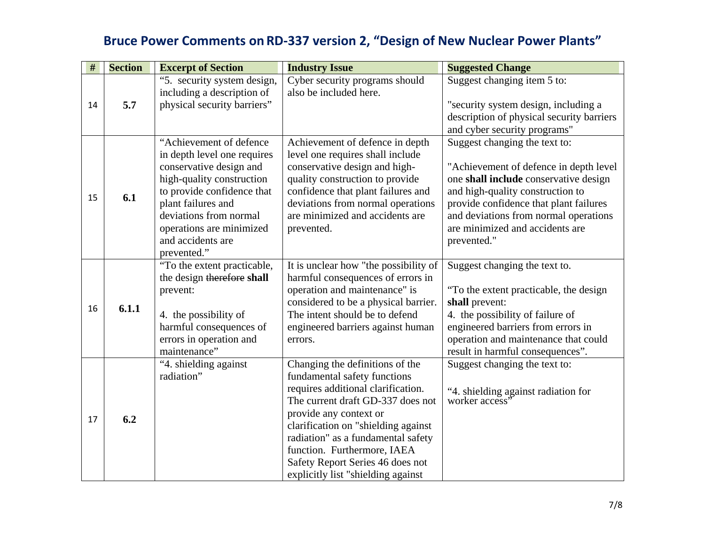| $\#$ | <b>Section</b> | <b>Excerpt of Section</b>   | <b>Industry Issue</b>                 | <b>Suggested Change</b>                            |
|------|----------------|-----------------------------|---------------------------------------|----------------------------------------------------|
|      |                | "5. security system design, | Cyber security programs should        | Suggest changing item 5 to:                        |
|      |                | including a description of  | also be included here.                |                                                    |
| 14   | 5.7            | physical security barriers" |                                       | "security system design, including a               |
|      |                |                             |                                       | description of physical security barriers          |
|      |                |                             |                                       | and cyber security programs"                       |
|      |                | "Achievement of defence     | Achievement of defence in depth       | Suggest changing the text to:                      |
|      |                | in depth level one requires | level one requires shall include      |                                                    |
|      |                | conservative design and     | conservative design and high-         | "Achievement of defence in depth level"            |
|      |                | high-quality construction   | quality construction to provide       | one shall include conservative design              |
| 15   | 6.1            | to provide confidence that  | confidence that plant failures and    | and high-quality construction to                   |
|      |                | plant failures and          | deviations from normal operations     | provide confidence that plant failures             |
|      |                | deviations from normal      | are minimized and accidents are       | and deviations from normal operations              |
|      |                | operations are minimized    | prevented.                            | are minimized and accidents are                    |
|      |                | and accidents are           |                                       | prevented."                                        |
|      |                | prevented."                 |                                       |                                                    |
|      |                | "To the extent practicable, | It is unclear how "the possibility of | Suggest changing the text to.                      |
|      |                | the design therefore shall  | harmful consequences of errors in     |                                                    |
|      |                | prevent:                    | operation and maintenance" is         | "To the extent practicable, the design             |
| 16   | 6.1.1          |                             | considered to be a physical barrier.  | shall prevent:                                     |
|      |                | 4. the possibility of       | The intent should be to defend        | 4. the possibility of failure of                   |
|      |                | harmful consequences of     | engineered barriers against human     | engineered barriers from errors in                 |
|      |                | errors in operation and     | errors.                               | operation and maintenance that could               |
|      |                | maintenance"                |                                       | result in harmful consequences".                   |
|      |                | "4. shielding against       | Changing the definitions of the       | Suggest changing the text to:                      |
|      |                | radiation"                  | fundamental safety functions          |                                                    |
|      |                |                             | requires additional clarification.    | "4. shielding against radiation for worker access" |
|      |                |                             | The current draft GD-337 does not     |                                                    |
| 17   | 6.2            |                             | provide any context or                |                                                    |
|      |                |                             | clarification on "shielding against   |                                                    |
|      |                |                             | radiation" as a fundamental safety    |                                                    |
|      |                |                             | function. Furthermore, IAEA           |                                                    |
|      |                |                             | Safety Report Series 46 does not      |                                                    |
|      |                |                             | explicitly list "shielding against"   |                                                    |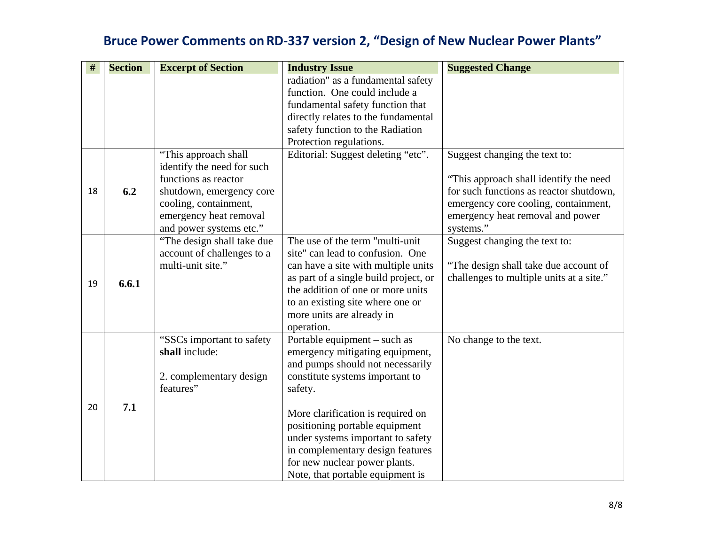| #  | <b>Section</b> | <b>Excerpt of Section</b>                                                                                                                                                             | <b>Industry Issue</b>                                                                                                                                                                                                                                                                                                                                                  | <b>Suggested Change</b>                                                                                                                                                                                     |
|----|----------------|---------------------------------------------------------------------------------------------------------------------------------------------------------------------------------------|------------------------------------------------------------------------------------------------------------------------------------------------------------------------------------------------------------------------------------------------------------------------------------------------------------------------------------------------------------------------|-------------------------------------------------------------------------------------------------------------------------------------------------------------------------------------------------------------|
|    |                |                                                                                                                                                                                       | radiation" as a fundamental safety<br>function. One could include a<br>fundamental safety function that<br>directly relates to the fundamental<br>safety function to the Radiation                                                                                                                                                                                     |                                                                                                                                                                                                             |
|    |                |                                                                                                                                                                                       | Protection regulations.                                                                                                                                                                                                                                                                                                                                                |                                                                                                                                                                                                             |
| 18 | 6.2            | "This approach shall"<br>identify the need for such<br>functions as reactor<br>shutdown, emergency core<br>cooling, containment,<br>emergency heat removal<br>and power systems etc." | Editorial: Suggest deleting "etc".                                                                                                                                                                                                                                                                                                                                     | Suggest changing the text to:<br>"This approach shall identify the need<br>for such functions as reactor shutdown,<br>emergency core cooling, containment,<br>emergency heat removal and power<br>systems." |
| 19 | 6.6.1          | "The design shall take due<br>account of challenges to a<br>multi-unit site."                                                                                                         | The use of the term "multi-unit<br>site" can lead to confusion. One<br>can have a site with multiple units<br>as part of a single build project, or<br>the addition of one or more units<br>to an existing site where one or<br>more units are already in<br>operation.                                                                                                | Suggest changing the text to:<br>"The design shall take due account of<br>challenges to multiple units at a site."                                                                                          |
| 20 | 7.1            | "SSCs important to safety"<br>shall include:<br>2. complementary design<br>features"                                                                                                  | Portable equipment – such as<br>emergency mitigating equipment,<br>and pumps should not necessarily<br>constitute systems important to<br>safety.<br>More clarification is required on<br>positioning portable equipment<br>under systems important to safety<br>in complementary design features<br>for new nuclear power plants.<br>Note, that portable equipment is | No change to the text.                                                                                                                                                                                      |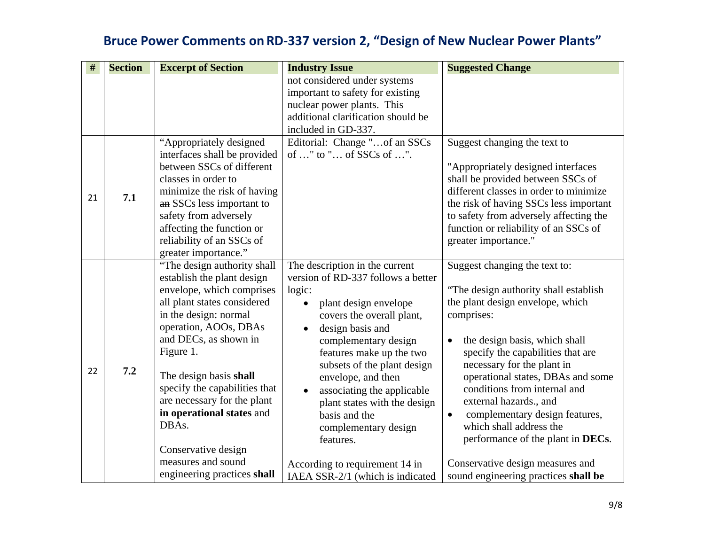| #  | <b>Section</b> | <b>Excerpt of Section</b>                                                                                                                                                                                                                                                                                                                                                                                                 | <b>Industry Issue</b>                                                                                                                                                                                                                                                                                                                                                                                                                                       | <b>Suggested Change</b>                                                                                                                                                                                                                                                                                                                                                                                                                                                                                                              |
|----|----------------|---------------------------------------------------------------------------------------------------------------------------------------------------------------------------------------------------------------------------------------------------------------------------------------------------------------------------------------------------------------------------------------------------------------------------|-------------------------------------------------------------------------------------------------------------------------------------------------------------------------------------------------------------------------------------------------------------------------------------------------------------------------------------------------------------------------------------------------------------------------------------------------------------|--------------------------------------------------------------------------------------------------------------------------------------------------------------------------------------------------------------------------------------------------------------------------------------------------------------------------------------------------------------------------------------------------------------------------------------------------------------------------------------------------------------------------------------|
|    |                |                                                                                                                                                                                                                                                                                                                                                                                                                           | not considered under systems<br>important to safety for existing<br>nuclear power plants. This<br>additional clarification should be<br>included in GD-337.                                                                                                                                                                                                                                                                                                 |                                                                                                                                                                                                                                                                                                                                                                                                                                                                                                                                      |
| 21 | 7.1            | "Appropriately designed<br>interfaces shall be provided<br>between SSCs of different<br>classes in order to<br>minimize the risk of having<br>an SSCs less important to<br>safety from adversely<br>affecting the function or<br>reliability of an SSCs of<br>greater importance."                                                                                                                                        | Editorial: Change "of an SSCs<br>of " to " of SSCs of ".                                                                                                                                                                                                                                                                                                                                                                                                    | Suggest changing the text to<br>"Appropriately designed interfaces<br>shall be provided between SSCs of<br>different classes in order to minimize<br>the risk of having SSCs less important<br>to safety from adversely affecting the<br>function or reliability of an SSCs of<br>greater importance."                                                                                                                                                                                                                               |
| 22 | 7.2            | "The design authority shall<br>establish the plant design<br>envelope, which comprises<br>all plant states considered<br>in the design: normal<br>operation, AOOs, DBAs<br>and DECs, as shown in<br>Figure 1.<br>The design basis shall<br>specify the capabilities that<br>are necessary for the plant<br>in operational states and<br>DBAs.<br>Conservative design<br>measures and sound<br>engineering practices shall | The description in the current<br>version of RD-337 follows a better<br>logic:<br>plant design envelope<br>covers the overall plant,<br>design basis and<br>complementary design<br>features make up the two<br>subsets of the plant design<br>envelope, and then<br>associating the applicable<br>plant states with the design<br>basis and the<br>complementary design<br>features.<br>According to requirement 14 in<br>IAEA SSR-2/1 (which is indicated | Suggest changing the text to:<br>"The design authority shall establish"<br>the plant design envelope, which<br>comprises:<br>the design basis, which shall<br>$\bullet$<br>specify the capabilities that are<br>necessary for the plant in<br>operational states, DBAs and some<br>conditions from internal and<br>external hazards., and<br>complementary design features,<br>$\bullet$<br>which shall address the<br>performance of the plant in DECs.<br>Conservative design measures and<br>sound engineering practices shall be |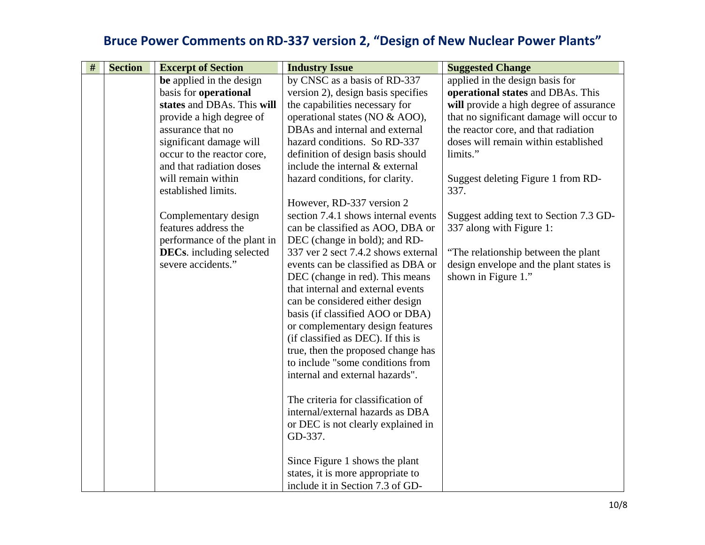| $\#$ | <b>Section</b> | <b>Excerpt of Section</b>       | <b>Industry Issue</b>               | <b>Suggested Change</b>                  |
|------|----------------|---------------------------------|-------------------------------------|------------------------------------------|
|      |                | be applied in the design        | by CNSC as a basis of RD-337        | applied in the design basis for          |
|      |                | basis for operational           | version 2), design basis specifies  | operational states and DBAs. This        |
|      |                | states and DBAs. This will      | the capabilities necessary for      | will provide a high degree of assurance  |
|      |                | provide a high degree of        | operational states (NO & AOO),      | that no significant damage will occur to |
|      |                | assurance that no               | DBAs and internal and external      | the reactor core, and that radiation     |
|      |                | significant damage will         | hazard conditions. So RD-337        | doses will remain within established     |
|      |                | occur to the reactor core,      | definition of design basis should   | limits."                                 |
|      |                | and that radiation doses        | include the internal & external     |                                          |
|      |                | will remain within              | hazard conditions, for clarity.     | Suggest deleting Figure 1 from RD-       |
|      |                | established limits.             |                                     | 337.                                     |
|      |                |                                 | However, RD-337 version 2           |                                          |
|      |                | Complementary design            | section 7.4.1 shows internal events | Suggest adding text to Section 7.3 GD-   |
|      |                | features address the            | can be classified as AOO, DBA or    | 337 along with Figure 1:                 |
|      |                | performance of the plant in     | DEC (change in bold); and RD-       |                                          |
|      |                | <b>DECs.</b> including selected | 337 ver 2 sect 7.4.2 shows external | "The relationship between the plant"     |
|      |                | severe accidents."              | events can be classified as DBA or  | design envelope and the plant states is  |
|      |                |                                 | DEC (change in red). This means     | shown in Figure 1."                      |
|      |                |                                 | that internal and external events   |                                          |
|      |                |                                 | can be considered either design     |                                          |
|      |                |                                 | basis (if classified AOO or DBA)    |                                          |
|      |                |                                 | or complementary design features    |                                          |
|      |                |                                 | (if classified as DEC). If this is  |                                          |
|      |                |                                 | true, then the proposed change has  |                                          |
|      |                |                                 | to include "some conditions from    |                                          |
|      |                |                                 | internal and external hazards".     |                                          |
|      |                |                                 |                                     |                                          |
|      |                |                                 | The criteria for classification of  |                                          |
|      |                |                                 | internal/external hazards as DBA    |                                          |
|      |                |                                 | or DEC is not clearly explained in  |                                          |
|      |                |                                 | GD-337.                             |                                          |
|      |                |                                 |                                     |                                          |
|      |                |                                 | Since Figure 1 shows the plant      |                                          |
|      |                |                                 | states, it is more appropriate to   |                                          |
|      |                |                                 | include it in Section 7.3 of GD-    |                                          |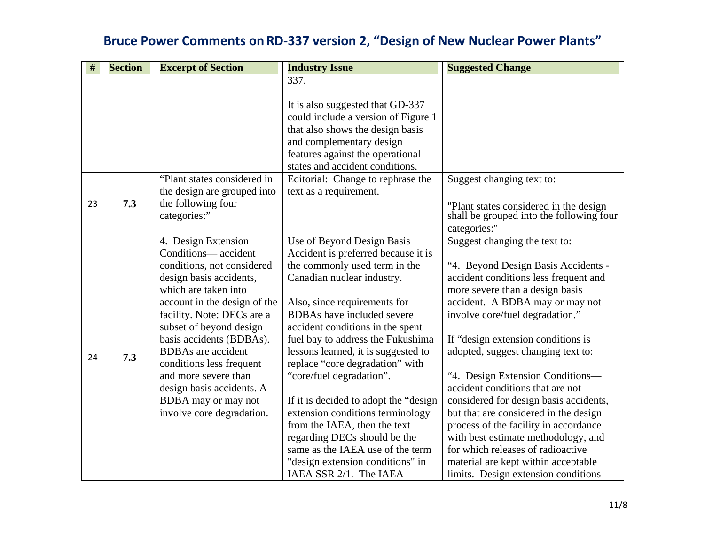| #  | <b>Section</b> | <b>Excerpt of Section</b>          | <b>Industry Issue</b>                 | <b>Suggested Change</b>                                                            |
|----|----------------|------------------------------------|---------------------------------------|------------------------------------------------------------------------------------|
|    |                |                                    | 337.                                  |                                                                                    |
|    |                |                                    |                                       |                                                                                    |
|    |                |                                    | It is also suggested that GD-337      |                                                                                    |
|    |                |                                    | could include a version of Figure 1   |                                                                                    |
|    |                |                                    | that also shows the design basis      |                                                                                    |
|    |                |                                    | and complementary design              |                                                                                    |
|    |                |                                    | features against the operational      |                                                                                    |
|    |                |                                    | states and accident conditions.       |                                                                                    |
|    |                | "Plant states considered in        | Editorial: Change to rephrase the     | Suggest changing text to:                                                          |
|    |                | the design are grouped into        | text as a requirement.                |                                                                                    |
| 23 | 7.3            | the following four<br>categories:" |                                       | "Plant states considered in the design<br>shall be grouped into the following four |
|    |                |                                    |                                       | categories:"                                                                       |
|    |                | 4. Design Extension                | Use of Beyond Design Basis            | Suggest changing the text to:                                                      |
|    |                | Conditions— accident               | Accident is preferred because it is   |                                                                                    |
|    |                | conditions, not considered         | the commonly used term in the         | "4. Beyond Design Basis Accidents -                                                |
|    |                | design basis accidents,            | Canadian nuclear industry.            | accident conditions less frequent and                                              |
|    |                | which are taken into               |                                       | more severe than a design basis                                                    |
|    |                | account in the design of the       | Also, since requirements for          | accident. A BDBA may or may not                                                    |
|    |                | facility. Note: DECs are a         | <b>BDBAs</b> have included severe     | involve core/fuel degradation."                                                    |
|    |                | subset of beyond design            | accident conditions in the spent      |                                                                                    |
|    |                | basis accidents (BDBAs).           | fuel bay to address the Fukushima     | If "design extension conditions is                                                 |
| 24 | 7.3            | <b>BDBAs</b> are accident          | lessons learned, it is suggested to   | adopted, suggest changing text to:                                                 |
|    |                | conditions less frequent           | replace "core degradation" with       |                                                                                    |
|    |                | and more severe than               | "core/fuel degradation".              | "4. Design Extension Conditions-                                                   |
|    |                | design basis accidents. A          |                                       | accident conditions that are not                                                   |
|    |                | BDBA may or may not                | If it is decided to adopt the "design | considered for design basis accidents,                                             |
|    |                | involve core degradation.          | extension conditions terminology      | but that are considered in the design                                              |
|    |                |                                    | from the IAEA, then the text          | process of the facility in accordance                                              |
|    |                |                                    | regarding DECs should be the          | with best estimate methodology, and                                                |
|    |                |                                    | same as the IAEA use of the term      | for which releases of radioactive                                                  |
|    |                |                                    | "design extension conditions" in      | material are kept within acceptable                                                |
|    |                |                                    | IAEA SSR 2/1. The IAEA                | limits. Design extension conditions                                                |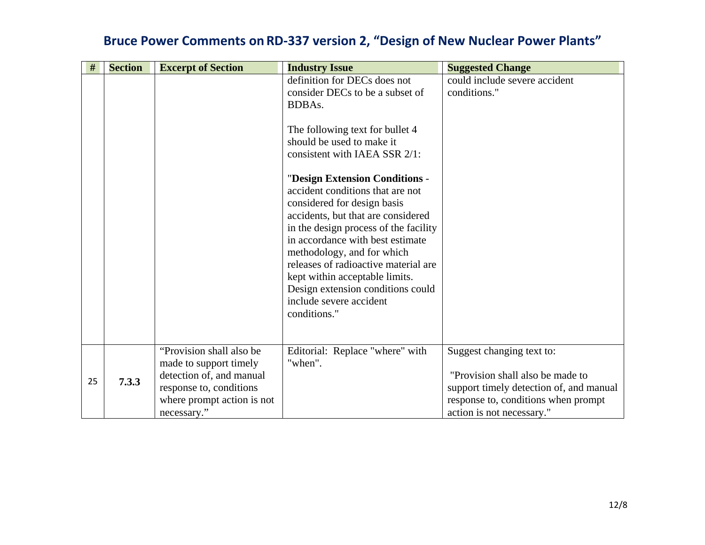| #  | <b>Section</b> | <b>Excerpt of Section</b>                           | <b>Industry Issue</b>                                              | <b>Suggested Change</b>                       |
|----|----------------|-----------------------------------------------------|--------------------------------------------------------------------|-----------------------------------------------|
|    |                |                                                     | definition for DECs does not<br>consider DECs to be a subset of    | could include severe accident<br>conditions." |
|    |                |                                                     | BDBAs.                                                             |                                               |
|    |                |                                                     |                                                                    |                                               |
|    |                |                                                     | The following text for bullet 4<br>should be used to make it       |                                               |
|    |                |                                                     | consistent with IAEA SSR 2/1:                                      |                                               |
|    |                |                                                     |                                                                    |                                               |
|    |                |                                                     | "Design Extension Conditions -                                     |                                               |
|    |                |                                                     | accident conditions that are not<br>considered for design basis    |                                               |
|    |                |                                                     | accidents, but that are considered                                 |                                               |
|    |                |                                                     | in the design process of the facility                              |                                               |
|    |                |                                                     | in accordance with best estimate                                   |                                               |
|    |                |                                                     | methodology, and for which<br>releases of radioactive material are |                                               |
|    |                |                                                     | kept within acceptable limits.                                     |                                               |
|    |                |                                                     | Design extension conditions could                                  |                                               |
|    |                |                                                     | include severe accident                                            |                                               |
|    |                |                                                     | conditions."                                                       |                                               |
|    |                |                                                     |                                                                    |                                               |
|    |                | "Provision shall also be                            | Editorial: Replace "where" with                                    | Suggest changing text to:                     |
|    |                | made to support timely                              | "when".                                                            | "Provision shall also be made to              |
| 25 | 7.3.3          | detection of, and manual<br>response to, conditions |                                                                    | support timely detection of, and manual       |
|    |                | where prompt action is not                          |                                                                    | response to, conditions when prompt           |
|    |                | necessary."                                         |                                                                    | action is not necessary."                     |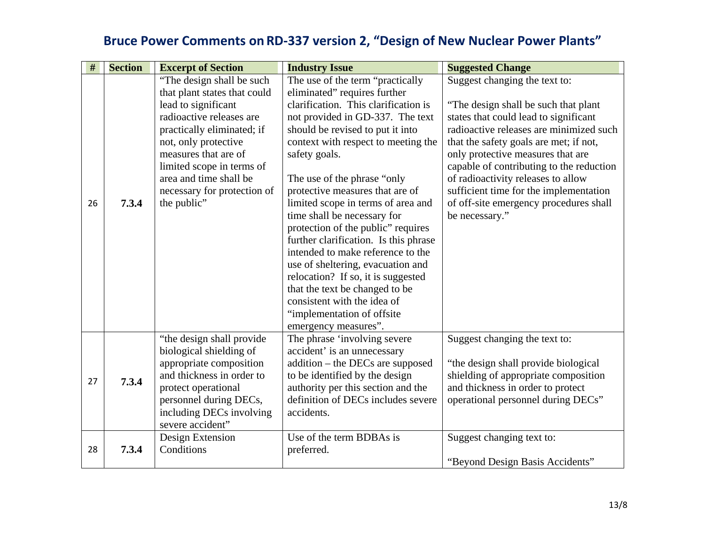| $\#$ | <b>Section</b> | <b>Excerpt of Section</b>                                 | <b>Industry Issue</b>                                                      | <b>Suggested Change</b>                  |
|------|----------------|-----------------------------------------------------------|----------------------------------------------------------------------------|------------------------------------------|
|      |                | "The design shall be such<br>that plant states that could | The use of the term "practically<br>eliminated" requires further           | Suggest changing the text to:            |
|      |                | lead to significant                                       | clarification. This clarification is                                       | "The design shall be such that plant"    |
|      |                | radioactive releases are                                  | not provided in GD-337. The text                                           | states that could lead to significant    |
|      |                | practically eliminated; if                                | should be revised to put it into                                           | radioactive releases are minimized such  |
|      |                | not, only protective                                      | context with respect to meeting the                                        | that the safety goals are met; if not,   |
|      |                | measures that are of                                      | safety goals.                                                              | only protective measures that are        |
|      |                | limited scope in terms of                                 |                                                                            | capable of contributing to the reduction |
|      |                | area and time shall be                                    | The use of the phrase "only"                                               | of radioactivity releases to allow       |
|      |                | necessary for protection of                               | protective measures that are of                                            | sufficient time for the implementation   |
| 26   | 7.3.4          | the public"                                               | limited scope in terms of area and                                         | of off-site emergency procedures shall   |
|      |                |                                                           | time shall be necessary for                                                | be necessary."                           |
|      |                |                                                           | protection of the public" requires                                         |                                          |
|      |                |                                                           | further clarification. Is this phrase<br>intended to make reference to the |                                          |
|      |                |                                                           |                                                                            |                                          |
|      |                |                                                           | use of sheltering, evacuation and<br>relocation? If so, it is suggested    |                                          |
|      |                |                                                           | that the text be changed to be                                             |                                          |
|      |                |                                                           | consistent with the idea of                                                |                                          |
|      |                |                                                           | "implementation of offsite                                                 |                                          |
|      |                |                                                           | emergency measures".                                                       |                                          |
|      |                | "the design shall provide"                                | The phrase 'involving severe                                               | Suggest changing the text to:            |
|      |                | biological shielding of                                   | accident' is an unnecessary                                                |                                          |
|      |                | appropriate composition                                   | $addition - the DECs are supposed$                                         | "the design shall provide biological"    |
| 27   | 7.3.4          | and thickness in order to                                 | to be identified by the design                                             | shielding of appropriate composition     |
|      |                | protect operational                                       | authority per this section and the                                         | and thickness in order to protect        |
|      |                | personnel during DECs,                                    | definition of DECs includes severe                                         | operational personnel during DECs"       |
|      |                | including DECs involving                                  | accidents.                                                                 |                                          |
|      |                | severe accident"                                          |                                                                            |                                          |
|      |                | Design Extension                                          | Use of the term BDBAs is                                                   | Suggest changing text to:                |
| 28   | 7.3.4          | Conditions                                                | preferred.                                                                 |                                          |
|      |                |                                                           |                                                                            | "Beyond Design Basis Accidents"          |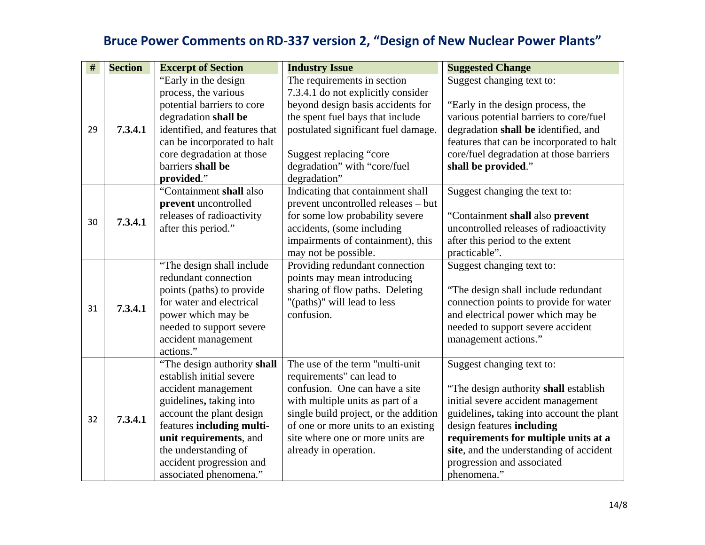| #  | <b>Section</b> | <b>Excerpt of Section</b>     | <b>Industry Issue</b>                 | <b>Suggested Change</b>                   |
|----|----------------|-------------------------------|---------------------------------------|-------------------------------------------|
|    |                | "Early in the design"         | The requirements in section           | Suggest changing text to:                 |
|    |                | process, the various          | 7.3.4.1 do not explicitly consider    |                                           |
|    |                | potential barriers to core    | beyond design basis accidents for     | "Early in the design process, the         |
|    |                | degradation shall be          | the spent fuel bays that include      | various potential barriers to core/fuel   |
| 29 | 7.3.4.1        | identified, and features that | postulated significant fuel damage.   | degradation shall be identified, and      |
|    |                | can be incorporated to halt   |                                       | features that can be incorporated to halt |
|    |                | core degradation at those     | Suggest replacing "core               | core/fuel degradation at those barriers   |
|    |                | barriers shall be             | degradation" with "core/fuel          | shall be provided."                       |
|    |                | provided."                    | degradation"                          |                                           |
|    |                | "Containment shall also       | Indicating that containment shall     | Suggest changing the text to:             |
|    |                | prevent uncontrolled          | prevent uncontrolled releases - but   |                                           |
| 30 | 7.3.4.1        | releases of radioactivity     | for some low probability severe       | "Containment shall also prevent           |
|    |                | after this period."           | accidents, (some including            | uncontrolled releases of radioactivity    |
|    |                |                               | impairments of containment), this     | after this period to the extent           |
|    |                |                               | may not be possible.                  | practicable".                             |
|    |                | "The design shall include"    | Providing redundant connection        | Suggest changing text to:                 |
|    |                | redundant connection          | points may mean introducing           |                                           |
|    |                | points (paths) to provide     | sharing of flow paths. Deleting       | "The design shall include redundant       |
| 31 | 7.3.4.1        | for water and electrical      | "(paths)" will lead to less           | connection points to provide for water    |
|    |                | power which may be            | confusion.                            | and electrical power which may be         |
|    |                | needed to support severe      |                                       | needed to support severe accident         |
|    |                | accident management           |                                       | management actions."                      |
|    |                | actions."                     |                                       |                                           |
|    |                | "The design authority shall   | The use of the term "multi-unit"      | Suggest changing text to:                 |
|    |                | establish initial severe      | requirements" can lead to             |                                           |
|    |                | accident management           | confusion. One can have a site        | "The design authority shall establish"    |
|    |                | guidelines, taking into       | with multiple units as part of a      | initial severe accident management        |
| 32 | 7.3.4.1        | account the plant design      | single build project, or the addition | guidelines, taking into account the plant |
|    |                | features including multi-     | of one or more units to an existing   | design features including                 |
|    |                | unit requirements, and        | site where one or more units are      | requirements for multiple units at a      |
|    |                | the understanding of          | already in operation.                 | site, and the understanding of accident   |
|    |                | accident progression and      |                                       | progression and associated                |
|    |                | associated phenomena."        |                                       | phenomena."                               |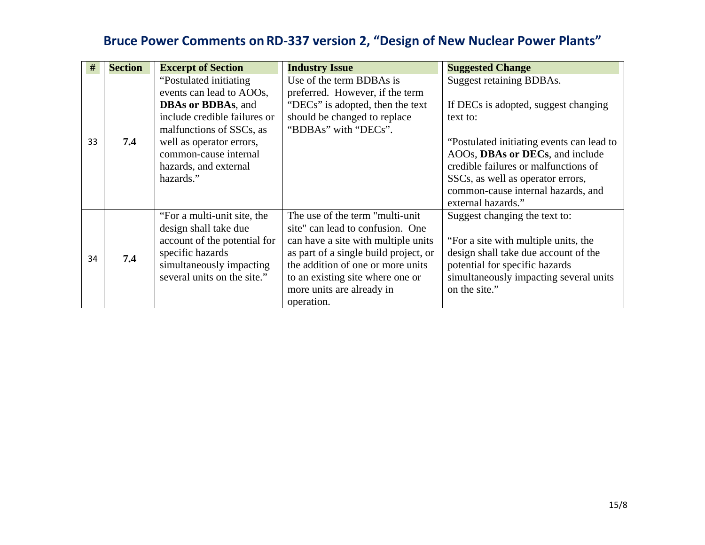| #  | <b>Section</b> | <b>Excerpt of Section</b>                          | <b>Industry Issue</b>                                       | <b>Suggested Change</b>                   |
|----|----------------|----------------------------------------------------|-------------------------------------------------------------|-------------------------------------------|
|    |                | "Postulated initiating<br>events can lead to AOOs, | Use of the term BDBAs is<br>preferred. However, if the term | <b>Suggest retaining BDBAs.</b>           |
|    |                | <b>DBAs or BDBAs</b> , and                         | "DECs" is adopted, then the text                            | If DECs is adopted, suggest changing      |
|    |                | include credible failures or                       | should be changed to replace                                | text to:                                  |
|    |                | malfunctions of SSCs, as                           | "BDBAs" with "DECs".                                        |                                           |
| 33 | 7.4            | well as operator errors,                           |                                                             | "Postulated initiating events can lead to |
|    |                | common-cause internal                              |                                                             | AOOs, DBAs or DECs, and include           |
|    |                | hazards, and external                              |                                                             | credible failures or malfunctions of      |
|    |                | hazards."                                          |                                                             | SSCs, as well as operator errors,         |
|    |                |                                                    |                                                             | common-cause internal hazards, and        |
|    |                |                                                    |                                                             | external hazards."                        |
|    |                | "For a multi-unit site, the                        | The use of the term "multi-unit"                            | Suggest changing the text to:             |
|    |                | design shall take due                              | site" can lead to confusion. One                            |                                           |
|    |                | account of the potential for                       | can have a site with multiple units                         | "For a site with multiple units, the      |
| 34 | 7.4            | specific hazards                                   | as part of a single build project, or                       | design shall take due account of the      |
|    |                | simultaneously impacting                           | the addition of one or more units                           | potential for specific hazards            |
|    |                | several units on the site."                        | to an existing site where one or                            | simultaneously impacting several units    |
|    |                |                                                    | more units are already in                                   | on the site."                             |
|    |                |                                                    | operation.                                                  |                                           |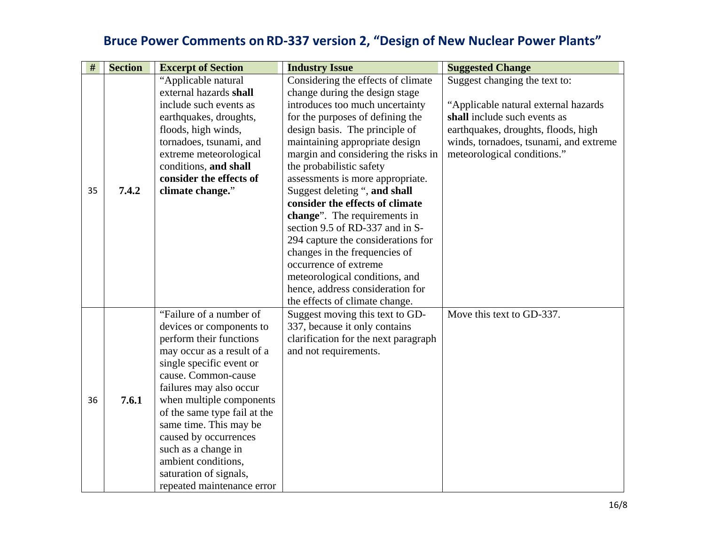| #  | <b>Section</b> | <b>Excerpt of Section</b>                    | <b>Industry Issue</b>                | <b>Suggested Change</b>                |
|----|----------------|----------------------------------------------|--------------------------------------|----------------------------------------|
|    |                | "Applicable natural                          | Considering the effects of climate   | Suggest changing the text to:          |
|    |                | external hazards shall                       | change during the design stage       |                                        |
|    |                | include such events as                       | introduces too much uncertainty      | "Applicable natural external hazards   |
|    |                | earthquakes, droughts,                       | for the purposes of defining the     | shall include such events as           |
|    |                | floods, high winds,                          | design basis. The principle of       | earthquakes, droughts, floods, high    |
|    |                | tornadoes, tsunami, and                      | maintaining appropriate design       | winds, tornadoes, tsunami, and extreme |
|    |                | extreme meteorological                       | margin and considering the risks in  | meteorological conditions."            |
|    |                | conditions, and shall                        | the probabilistic safety             |                                        |
|    |                | consider the effects of                      | assessments is more appropriate.     |                                        |
| 35 | 7.4.2          | climate change."                             | Suggest deleting ", and shall        |                                        |
|    |                |                                              | consider the effects of climate      |                                        |
|    |                |                                              | change". The requirements in         |                                        |
|    |                |                                              | section 9.5 of RD-337 and in S-      |                                        |
|    |                |                                              | 294 capture the considerations for   |                                        |
|    |                |                                              | changes in the frequencies of        |                                        |
|    |                |                                              | occurrence of extreme                |                                        |
|    |                |                                              | meteorological conditions, and       |                                        |
|    |                |                                              | hence, address consideration for     |                                        |
|    |                |                                              | the effects of climate change.       |                                        |
|    |                | "Failure of a number of                      | Suggest moving this text to GD-      | Move this text to GD-337.              |
|    |                | devices or components to                     | 337, because it only contains        |                                        |
|    |                | perform their functions                      | clarification for the next paragraph |                                        |
|    |                | may occur as a result of a                   | and not requirements.                |                                        |
|    |                | single specific event or                     |                                      |                                        |
|    |                | cause. Common-cause                          |                                      |                                        |
| 36 | 7.6.1          | failures may also occur                      |                                      |                                        |
|    |                | when multiple components                     |                                      |                                        |
|    |                | of the same type fail at the                 |                                      |                                        |
|    |                | same time. This may be                       |                                      |                                        |
|    |                | caused by occurrences<br>such as a change in |                                      |                                        |
|    |                | ambient conditions,                          |                                      |                                        |
|    |                |                                              |                                      |                                        |
|    |                | saturation of signals,                       |                                      |                                        |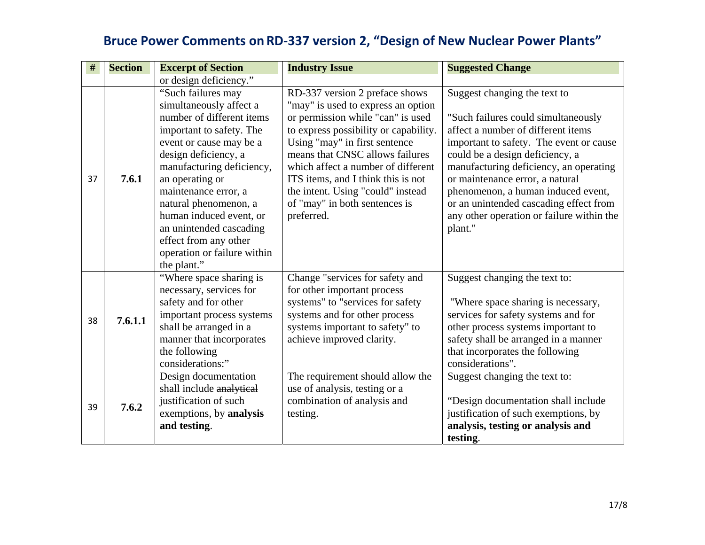| #  | <b>Section</b> | <b>Excerpt of Section</b>                                                                                                                                                                                                                                                                                                                                                               | <b>Industry Issue</b>                                                                                                                                                                                                                                                                                                                                                                  | <b>Suggested Change</b>                                                                                                                                                                                                                                                                                                                                                                                      |
|----|----------------|-----------------------------------------------------------------------------------------------------------------------------------------------------------------------------------------------------------------------------------------------------------------------------------------------------------------------------------------------------------------------------------------|----------------------------------------------------------------------------------------------------------------------------------------------------------------------------------------------------------------------------------------------------------------------------------------------------------------------------------------------------------------------------------------|--------------------------------------------------------------------------------------------------------------------------------------------------------------------------------------------------------------------------------------------------------------------------------------------------------------------------------------------------------------------------------------------------------------|
|    |                | or design deficiency."                                                                                                                                                                                                                                                                                                                                                                  |                                                                                                                                                                                                                                                                                                                                                                                        |                                                                                                                                                                                                                                                                                                                                                                                                              |
| 37 | 7.6.1          | "Such failures may<br>simultaneously affect a<br>number of different items<br>important to safety. The<br>event or cause may be a<br>design deficiency, a<br>manufacturing deficiency,<br>an operating or<br>maintenance error, a<br>natural phenomenon, a<br>human induced event, or<br>an unintended cascading<br>effect from any other<br>operation or failure within<br>the plant." | RD-337 version 2 preface shows<br>"may" is used to express an option<br>or permission while "can" is used<br>to express possibility or capability.<br>Using "may" in first sentence<br>means that CNSC allows failures<br>which affect a number of different<br>ITS items, and I think this is not<br>the intent. Using "could" instead<br>of "may" in both sentences is<br>preferred. | Suggest changing the text to<br>"Such failures could simultaneously<br>affect a number of different items<br>important to safety. The event or cause<br>could be a design deficiency, a<br>manufacturing deficiency, an operating<br>or maintenance error, a natural<br>phenomenon, a human induced event,<br>or an unintended cascading effect from<br>any other operation or failure within the<br>plant." |
| 38 | 7.6.1.1        | "Where space sharing is<br>necessary, services for<br>safety and for other<br>important process systems<br>shall be arranged in a<br>manner that incorporates<br>the following<br>considerations:"                                                                                                                                                                                      | Change "services for safety and<br>for other important process<br>systems" to "services for safety<br>systems and for other process<br>systems important to safety" to<br>achieve improved clarity.                                                                                                                                                                                    | Suggest changing the text to:<br>"Where space sharing is necessary,<br>services for safety systems and for<br>other process systems important to<br>safety shall be arranged in a manner<br>that incorporates the following<br>considerations".                                                                                                                                                              |
| 39 | 7.6.2          | Design documentation<br>shall include analytical<br>justification of such<br>exemptions, by analysis<br>and testing.                                                                                                                                                                                                                                                                    | The requirement should allow the<br>use of analysis, testing or a<br>combination of analysis and<br>testing.                                                                                                                                                                                                                                                                           | Suggest changing the text to:<br>"Design documentation shall include"<br>justification of such exemptions, by<br>analysis, testing or analysis and<br>testing.                                                                                                                                                                                                                                               |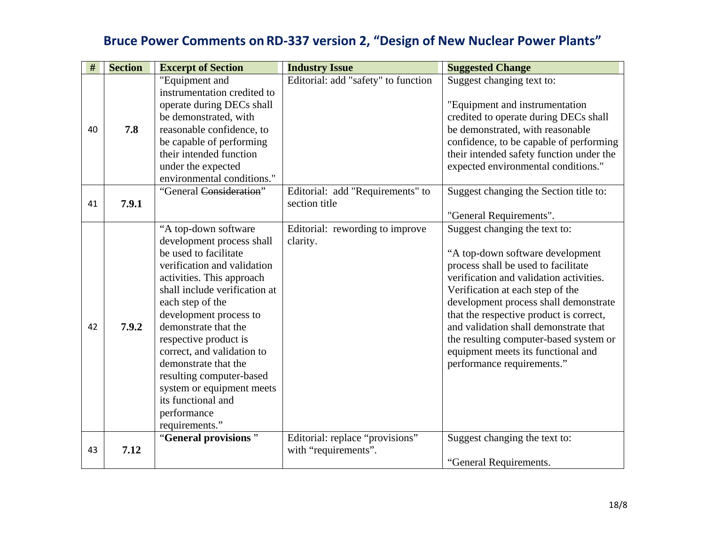| $\#$ | <b>Section</b> | <b>Excerpt of Section</b>                                                                                                                                                                                                                                                                                                                                                                                                                    | <b>Industry Issue</b>                                   | <b>Suggested Change</b>                                                                                                                                                                                                                                                                                                                                                                                                            |
|------|----------------|----------------------------------------------------------------------------------------------------------------------------------------------------------------------------------------------------------------------------------------------------------------------------------------------------------------------------------------------------------------------------------------------------------------------------------------------|---------------------------------------------------------|------------------------------------------------------------------------------------------------------------------------------------------------------------------------------------------------------------------------------------------------------------------------------------------------------------------------------------------------------------------------------------------------------------------------------------|
| 40   | 7.8            | "Equipment and<br>instrumentation credited to<br>operate during DECs shall<br>be demonstrated, with<br>reasonable confidence, to<br>be capable of performing<br>their intended function<br>under the expected<br>environmental conditions."                                                                                                                                                                                                  | Editorial: add "safety" to function                     | Suggest changing text to:<br>"Equipment and instrumentation<br>credited to operate during DECs shall<br>be demonstrated, with reasonable<br>confidence, to be capable of performing<br>their intended safety function under the<br>expected environmental conditions."                                                                                                                                                             |
| 41   | 7.9.1          | "General Consideration"                                                                                                                                                                                                                                                                                                                                                                                                                      | Editorial: add "Requirements" to<br>section title       | Suggest changing the Section title to:<br>"General Requirements".                                                                                                                                                                                                                                                                                                                                                                  |
| 42   | 7.9.2          | "A top-down software<br>development process shall<br>be used to facilitate<br>verification and validation<br>activities. This approach<br>shall include verification at<br>each step of the<br>development process to<br>demonstrate that the<br>respective product is<br>correct, and validation to<br>demonstrate that the<br>resulting computer-based<br>system or equipment meets<br>its functional and<br>performance<br>requirements." | Editorial: rewording to improve<br>clarity.             | Suggest changing the text to:<br>"A top-down software development<br>process shall be used to facilitate<br>verification and validation activities.<br>Verification at each step of the<br>development process shall demonstrate<br>that the respective product is correct,<br>and validation shall demonstrate that<br>the resulting computer-based system or<br>equipment meets its functional and<br>performance requirements." |
| 43   | 7.12           | "General provisions"                                                                                                                                                                                                                                                                                                                                                                                                                         | Editorial: replace "provisions"<br>with "requirements". | Suggest changing the text to:<br>"General Requirements.                                                                                                                                                                                                                                                                                                                                                                            |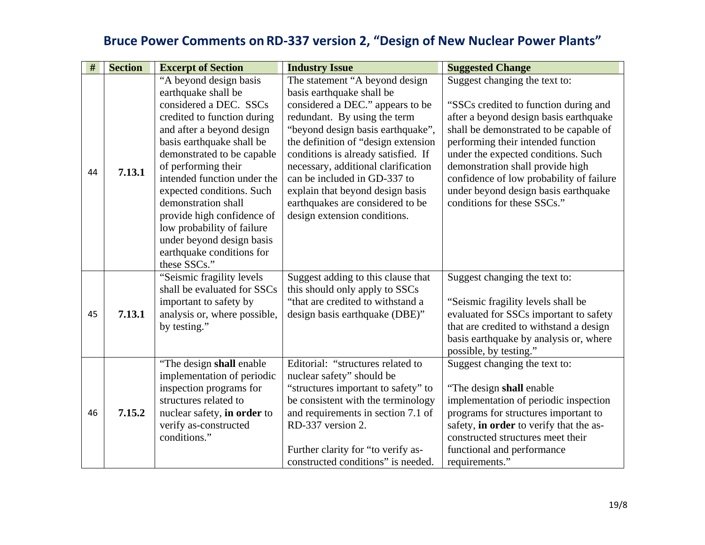| $\#$ | <b>Section</b> | <b>Excerpt of Section</b>    | <b>Industry Issue</b>                | <b>Suggested Change</b>                  |
|------|----------------|------------------------------|--------------------------------------|------------------------------------------|
|      |                | "A beyond design basis       | The statement "A beyond design       | Suggest changing the text to:            |
|      |                | earthquake shall be          | basis earthquake shall be            |                                          |
|      |                | considered a DEC. SSCs       | considered a DEC." appears to be     | "SSCs credited to function during and    |
|      |                | credited to function during  | redundant. By using the term         | after a beyond design basis earthquake   |
|      |                | and after a beyond design    | "beyond design basis earthquake",    | shall be demonstrated to be capable of   |
|      |                | basis earthquake shall be    | the definition of "design extension" | performing their intended function       |
|      |                | demonstrated to be capable   | conditions is already satisfied. If  | under the expected conditions. Such      |
| 44   | 7.13.1         | of performing their          | necessary, additional clarification  | demonstration shall provide high         |
|      |                | intended function under the  | can be included in GD-337 to         | confidence of low probability of failure |
|      |                | expected conditions. Such    | explain that beyond design basis     | under beyond design basis earthquake     |
|      |                | demonstration shall          | earthquakes are considered to be     | conditions for these SSCs."              |
|      |                | provide high confidence of   | design extension conditions.         |                                          |
|      |                | low probability of failure   |                                      |                                          |
|      |                | under beyond design basis    |                                      |                                          |
|      |                | earthquake conditions for    |                                      |                                          |
|      |                | these SSCs."                 |                                      |                                          |
|      |                | "Seismic fragility levels"   | Suggest adding to this clause that   | Suggest changing the text to:            |
|      |                | shall be evaluated for SSCs  | this should only apply to SSCs       |                                          |
|      |                | important to safety by       | "that are credited to withstand a    | "Seismic fragility levels shall be       |
| 45   | 7.13.1         | analysis or, where possible, | design basis earthquake (DBE)"       | evaluated for SSCs important to safety   |
|      |                | by testing."                 |                                      | that are credited to withstand a design  |
|      |                |                              |                                      | basis earthquake by analysis or, where   |
|      |                |                              |                                      | possible, by testing."                   |
|      |                | "The design shall enable"    | Editorial: "structures related to    | Suggest changing the text to:            |
|      |                | implementation of periodic   | nuclear safety" should be            |                                          |
|      |                | inspection programs for      | "structures important to safety" to  | "The design shall enable"                |
|      |                | structures related to        | be consistent with the terminology   | implementation of periodic inspection    |
| 46   | 7.15.2         | nuclear safety, in order to  | and requirements in section 7.1 of   | programs for structures important to     |
|      |                | verify as-constructed        | RD-337 version 2.                    | safety, in order to verify that the as-  |
|      |                | conditions."                 |                                      | constructed structures meet their        |
|      |                |                              | Further clarity for "to verify as-   | functional and performance               |
|      |                |                              | constructed conditions" is needed.   | requirements."                           |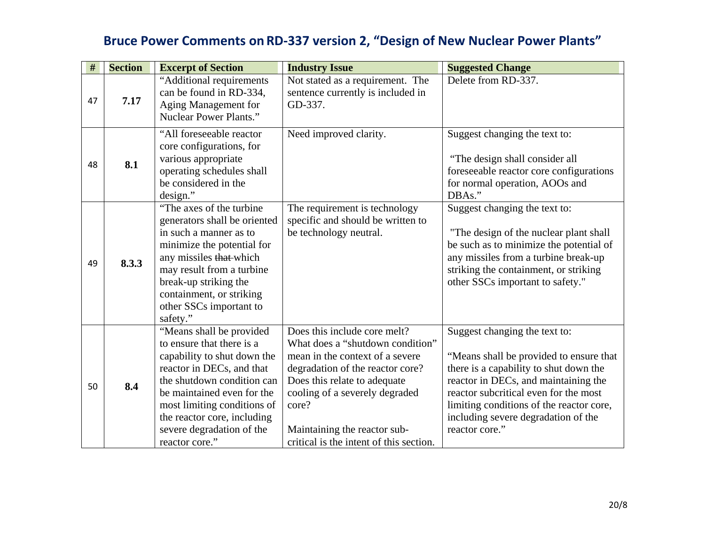| #  | <b>Section</b> | <b>Excerpt of Section</b>                                                                                                                                                                                                                                                                  | <b>Industry Issue</b>                                                                                                                                                                                                                                                                         | <b>Suggested Change</b>                                                                                                                                                                                                                                                                                  |
|----|----------------|--------------------------------------------------------------------------------------------------------------------------------------------------------------------------------------------------------------------------------------------------------------------------------------------|-----------------------------------------------------------------------------------------------------------------------------------------------------------------------------------------------------------------------------------------------------------------------------------------------|----------------------------------------------------------------------------------------------------------------------------------------------------------------------------------------------------------------------------------------------------------------------------------------------------------|
| 47 | 7.17           | "Additional requirements<br>can be found in RD-334,<br>Aging Management for<br><b>Nuclear Power Plants."</b>                                                                                                                                                                               | Not stated as a requirement. The<br>sentence currently is included in<br>GD-337.                                                                                                                                                                                                              | Delete from RD-337.                                                                                                                                                                                                                                                                                      |
| 48 | 8.1            | "All foreseeable reactor<br>core configurations, for<br>various appropriate<br>operating schedules shall<br>be considered in the<br>design."                                                                                                                                               | Need improved clarity.                                                                                                                                                                                                                                                                        | Suggest changing the text to:<br>"The design shall consider all<br>foreseeable reactor core configurations<br>for normal operation, AOOs and<br>DBAs."                                                                                                                                                   |
| 49 | 8.3.3          | "The axes of the turbine"<br>generators shall be oriented<br>in such a manner as to<br>minimize the potential for<br>any missiles that which<br>may result from a turbine<br>break-up striking the<br>containment, or striking<br>other SSCs important to<br>safety."                      | The requirement is technology<br>specific and should be written to<br>be technology neutral.                                                                                                                                                                                                  | Suggest changing the text to:<br>"The design of the nuclear plant shall"<br>be such as to minimize the potential of<br>any missiles from a turbine break-up<br>striking the containment, or striking<br>other SSCs important to safety."                                                                 |
| 50 | 8.4            | "Means shall be provided<br>to ensure that there is a<br>capability to shut down the<br>reactor in DECs, and that<br>the shutdown condition can<br>be maintained even for the<br>most limiting conditions of<br>the reactor core, including<br>severe degradation of the<br>reactor core." | Does this include core melt?<br>What does a "shutdown condition"<br>mean in the context of a severe<br>degradation of the reactor core?<br>Does this relate to adequate<br>cooling of a severely degraded<br>core?<br>Maintaining the reactor sub-<br>critical is the intent of this section. | Suggest changing the text to:<br>"Means shall be provided to ensure that<br>there is a capability to shut down the<br>reactor in DECs, and maintaining the<br>reactor subcritical even for the most<br>limiting conditions of the reactor core,<br>including severe degradation of the<br>reactor core." |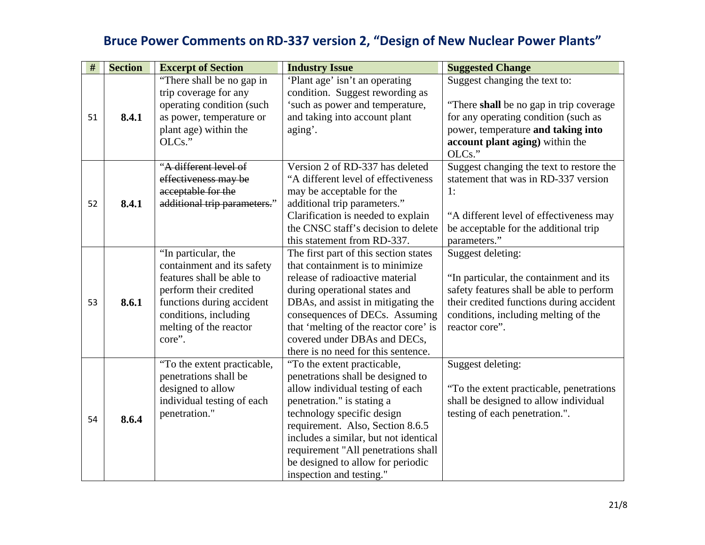| $\#$ | <b>Section</b> | <b>Excerpt of Section</b>                                                                                                                                                                          | <b>Industry Issue</b>                                                                                                                                                                                                                                                                                                                                 | <b>Suggested Change</b>                                                                                                                                                                                        |
|------|----------------|----------------------------------------------------------------------------------------------------------------------------------------------------------------------------------------------------|-------------------------------------------------------------------------------------------------------------------------------------------------------------------------------------------------------------------------------------------------------------------------------------------------------------------------------------------------------|----------------------------------------------------------------------------------------------------------------------------------------------------------------------------------------------------------------|
| 51   | 8.4.1          | "There shall be no gap in<br>trip coverage for any<br>operating condition (such<br>as power, temperature or                                                                                        | 'Plant age' isn't an operating<br>condition. Suggest rewording as<br>'such as power and temperature,<br>and taking into account plant                                                                                                                                                                                                                 | Suggest changing the text to:<br>"There shall be no gap in trip coverage"<br>for any operating condition (such as<br>power, temperature and taking into                                                        |
|      |                | plant age) within the<br>OLCs."                                                                                                                                                                    | aging'.                                                                                                                                                                                                                                                                                                                                               | account plant aging) within the<br>OLCs."                                                                                                                                                                      |
| 52   | 8.4.1          | "A different level of<br>effectiveness may be<br>acceptable for the<br>additional trip parameters."                                                                                                | Version 2 of RD-337 has deleted<br>"A different level of effectiveness<br>may be acceptable for the<br>additional trip parameters."<br>Clarification is needed to explain<br>the CNSC staff's decision to delete<br>this statement from RD-337.                                                                                                       | Suggest changing the text to restore the<br>statement that was in RD-337 version<br>1:<br>"A different level of effectiveness may<br>be acceptable for the additional trip<br>parameters."                     |
| 53   | 8.6.1          | "In particular, the<br>containment and its safety<br>features shall be able to<br>perform their credited<br>functions during accident<br>conditions, including<br>melting of the reactor<br>core". | The first part of this section states<br>that containment is to minimize<br>release of radioactive material<br>during operational states and<br>DBAs, and assist in mitigating the<br>consequences of DECs. Assuming<br>that 'melting of the reactor core' is<br>covered under DBAs and DECs,<br>there is no need for this sentence.                  | Suggest deleting:<br>"In particular, the containment and its<br>safety features shall be able to perform<br>their credited functions during accident<br>conditions, including melting of the<br>reactor core". |
| 54   | 8.6.4          | "To the extent practicable,<br>penetrations shall be<br>designed to allow<br>individual testing of each<br>penetration."                                                                           | "To the extent practicable,<br>penetrations shall be designed to<br>allow individual testing of each<br>penetration." is stating a<br>technology specific design<br>requirement. Also, Section 8.6.5<br>includes a similar, but not identical<br>requirement "All penetrations shall<br>be designed to allow for periodic<br>inspection and testing." | Suggest deleting:<br>"To the extent practicable, penetrations<br>shall be designed to allow individual<br>testing of each penetration.".                                                                       |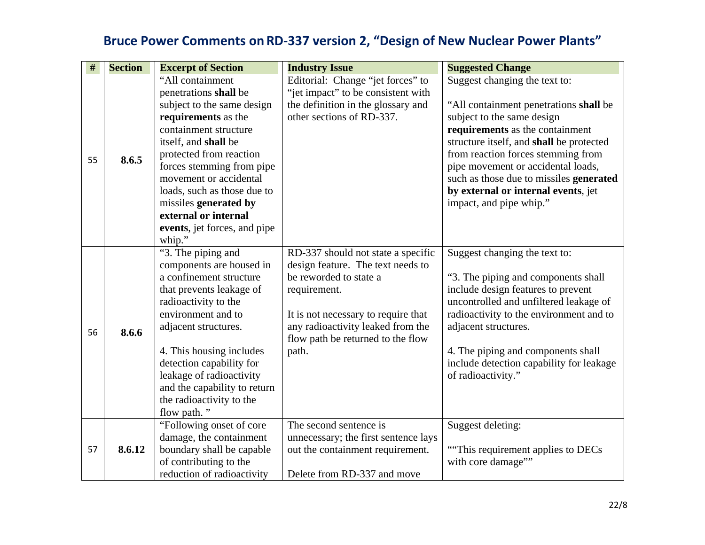| #  | <b>Section</b> | <b>Excerpt of Section</b>                           | <b>Industry Issue</b>                                                   | <b>Suggested Change</b>                                              |
|----|----------------|-----------------------------------------------------|-------------------------------------------------------------------------|----------------------------------------------------------------------|
|    |                | "All containment                                    | Editorial: Change "jet forces" to<br>"jet impact" to be consistent with | Suggest changing the text to:                                        |
|    |                | penetrations shall be<br>subject to the same design | the definition in the glossary and                                      |                                                                      |
|    |                | requirements as the                                 | other sections of RD-337.                                               | "All containment penetrations shall be<br>subject to the same design |
|    |                | containment structure                               |                                                                         | requirements as the containment                                      |
|    |                | itself, and shall be                                |                                                                         | structure itself, and shall be protected                             |
|    |                | protected from reaction                             |                                                                         | from reaction forces stemming from                                   |
| 55 | 8.6.5          | forces stemming from pipe                           |                                                                         | pipe movement or accidental loads,                                   |
|    |                | movement or accidental                              |                                                                         | such as those due to missiles generated                              |
|    |                | loads, such as those due to                         |                                                                         | by external or internal events, jet                                  |
|    |                | missiles generated by                               |                                                                         | impact, and pipe whip."                                              |
|    |                | external or internal                                |                                                                         |                                                                      |
|    |                | events, jet forces, and pipe                        |                                                                         |                                                                      |
|    |                | whip."                                              |                                                                         |                                                                      |
|    |                | "3. The piping and                                  | RD-337 should not state a specific                                      | Suggest changing the text to:                                        |
|    |                | components are housed in                            | design feature. The text needs to                                       |                                                                      |
|    |                | a confinement structure                             | be reworded to state a                                                  | "3. The piping and components shall                                  |
|    |                | that prevents leakage of                            | requirement.                                                            | include design features to prevent                                   |
|    |                | radioactivity to the                                |                                                                         | uncontrolled and unfiltered leakage of                               |
|    |                | environment and to                                  | It is not necessary to require that                                     | radioactivity to the environment and to                              |
| 56 | 8.6.6          | adjacent structures.                                | any radioactivity leaked from the                                       | adjacent structures.                                                 |
|    |                |                                                     | flow path be returned to the flow                                       |                                                                      |
|    |                | 4. This housing includes                            | path.                                                                   | 4. The piping and components shall                                   |
|    |                | detection capability for                            |                                                                         | include detection capability for leakage                             |
|    |                | leakage of radioactivity                            |                                                                         | of radioactivity."                                                   |
|    |                | and the capability to return                        |                                                                         |                                                                      |
|    |                | the radioactivity to the                            |                                                                         |                                                                      |
|    |                | flow path."                                         |                                                                         |                                                                      |
|    |                | "Following onset of core"                           | The second sentence is                                                  | Suggest deleting:                                                    |
|    |                | damage, the containment                             | unnecessary; the first sentence lays                                    |                                                                      |
| 57 | 8.6.12         | boundary shall be capable                           | out the containment requirement.                                        | "This requirement applies to DECs"                                   |
|    |                | of contributing to the                              |                                                                         | with core damage""                                                   |
|    |                | reduction of radioactivity                          | Delete from RD-337 and move                                             |                                                                      |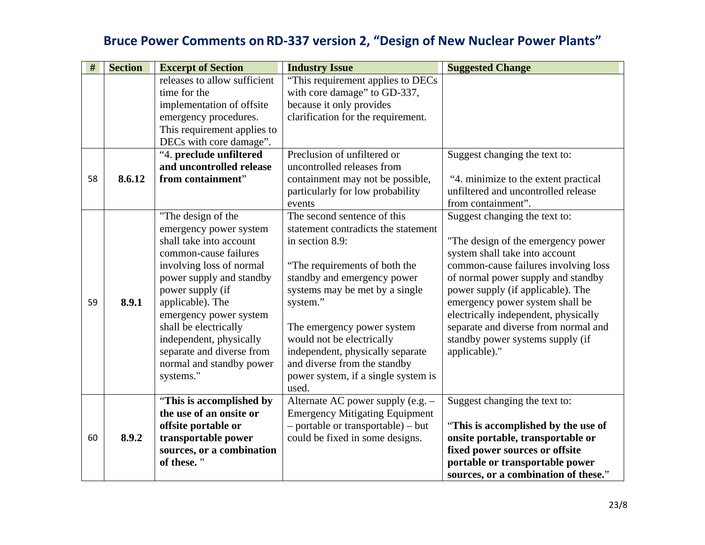| #  | <b>Section</b> | <b>Excerpt of Section</b>               | <b>Industry Issue</b>                 | <b>Suggested Change</b>              |
|----|----------------|-----------------------------------------|---------------------------------------|--------------------------------------|
|    |                | releases to allow sufficient            | "This requirement applies to DECs"    |                                      |
|    |                | time for the                            | with core damage" to GD-337,          |                                      |
|    |                | implementation of offsite               | because it only provides              |                                      |
|    |                | emergency procedures.                   | clarification for the requirement.    |                                      |
|    |                | This requirement applies to             |                                       |                                      |
|    |                | DECs with core damage".                 |                                       |                                      |
|    |                | "4. preclude unfiltered                 | Preclusion of unfiltered or           | Suggest changing the text to:        |
|    |                | and uncontrolled release                | uncontrolled releases from            |                                      |
| 58 | 8.6.12         | from containment"                       | containment may not be possible,      | "4. minimize to the extent practical |
|    |                |                                         | particularly for low probability      | unfiltered and uncontrolled release  |
|    |                |                                         | events                                | from containment".                   |
|    |                | "The design of the                      | The second sentence of this           | Suggest changing the text to:        |
|    |                | emergency power system                  | statement contradicts the statement   |                                      |
|    |                | shall take into account                 | in section 8.9:                       | "The design of the emergency power   |
|    |                | common-cause failures                   |                                       | system shall take into account       |
|    |                | involving loss of normal                | "The requirements of both the         | common-cause failures involving loss |
|    |                | power supply and standby                | standby and emergency power           | of normal power supply and standby   |
|    |                | power supply (if                        | systems may be met by a single        | power supply (if applicable). The    |
| 59 | 8.9.1          | applicable). The                        | system."                              | emergency power system shall be      |
|    |                | emergency power system                  |                                       | electrically independent, physically |
|    |                | shall be electrically                   | The emergency power system            | separate and diverse from normal and |
|    |                | independent, physically                 | would not be electrically             | standby power systems supply (if     |
|    |                | separate and diverse from               | independent, physically separate      | applicable)."                        |
|    |                | normal and standby power                | and diverse from the standby          |                                      |
|    |                | systems."                               | power system, if a single system is   |                                      |
|    |                |                                         | used.                                 |                                      |
|    |                | "This is accomplished by                | Alternate AC power supply (e.g. -     | Suggest changing the text to:        |
|    |                | the use of an onsite or                 | <b>Emergency Mitigating Equipment</b> |                                      |
|    |                | offsite portable or                     | - portable or transportable) - but    | "This is accomplished by the use of  |
| 60 | 8.9.2          | transportable power                     | could be fixed in some designs.       | onsite portable, transportable or    |
|    |                | sources, or a combination<br>of these." |                                       | fixed power sources or offsite       |
|    |                |                                         |                                       | portable or transportable power      |
|    |                |                                         |                                       | sources, or a combination of these." |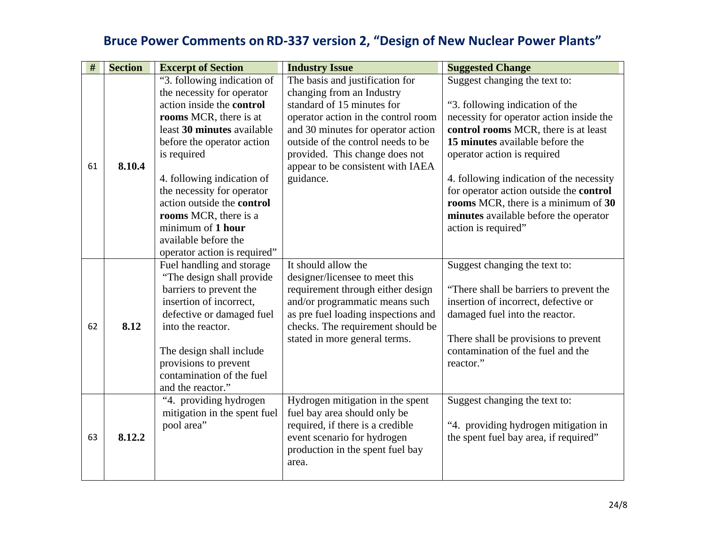| $\#$ | <b>Section</b> | <b>Excerpt of Section</b>         | <b>Industry Issue</b>               | <b>Suggested Change</b>                  |
|------|----------------|-----------------------------------|-------------------------------------|------------------------------------------|
|      |                | "3. following indication of       | The basis and justification for     | Suggest changing the text to:            |
|      |                | the necessity for operator        | changing from an Industry           |                                          |
|      |                | action inside the control         | standard of 15 minutes for          | "3. following indication of the          |
|      |                | rooms MCR, there is at            | operator action in the control room | necessity for operator action inside the |
|      |                | least 30 minutes available        | and 30 minutes for operator action  | control rooms MCR, there is at least     |
|      |                | before the operator action        | outside of the control needs to be  | 15 minutes available before the          |
|      |                | is required                       | provided. This change does not      | operator action is required              |
| 61   | 8.10.4         |                                   | appear to be consistent with IAEA   |                                          |
|      |                | 4. following indication of        | guidance.                           | 4. following indication of the necessity |
|      |                | the necessity for operator        |                                     | for operator action outside the control  |
|      |                | action outside the <b>control</b> |                                     | rooms MCR, there is a minimum of 30      |
|      |                | rooms MCR, there is a             |                                     | minutes available before the operator    |
|      |                | minimum of 1 hour                 |                                     | action is required"                      |
|      |                | available before the              |                                     |                                          |
|      |                | operator action is required"      |                                     |                                          |
|      |                | Fuel handling and storage         | It should allow the                 | Suggest changing the text to:            |
|      |                | "The design shall provide"        | designer/licensee to meet this      |                                          |
|      |                | barriers to prevent the           | requirement through either design   | "There shall be barriers to prevent the  |
|      |                | insertion of incorrect,           | and/or programmatic means such      | insertion of incorrect, defective or     |
|      |                | defective or damaged fuel         | as pre fuel loading inspections and | damaged fuel into the reactor.           |
| 62   | 8.12           | into the reactor.                 | checks. The requirement should be   |                                          |
|      |                |                                   | stated in more general terms.       | There shall be provisions to prevent     |
|      |                | The design shall include          |                                     | contamination of the fuel and the        |
|      |                | provisions to prevent             |                                     | reactor."                                |
|      |                | contamination of the fuel         |                                     |                                          |
|      |                | and the reactor."                 |                                     |                                          |
|      |                | "4. providing hydrogen            | Hydrogen mitigation in the spent    | Suggest changing the text to:            |
|      |                | mitigation in the spent fuel      | fuel bay area should only be        |                                          |
|      |                | pool area"                        | required, if there is a credible    | "4. providing hydrogen mitigation in     |
| 63   | 8.12.2         |                                   | event scenario for hydrogen         | the spent fuel bay area, if required"    |
|      |                |                                   | production in the spent fuel bay    |                                          |
|      |                |                                   | area.                               |                                          |
|      |                |                                   |                                     |                                          |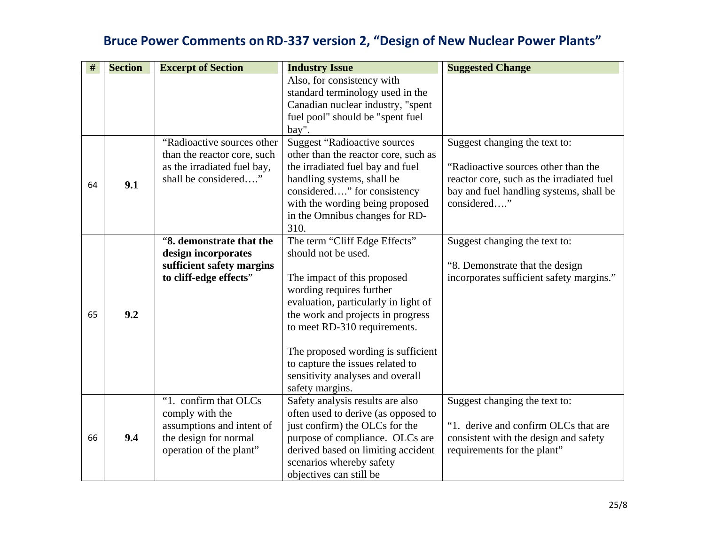| #  | <b>Section</b> | <b>Excerpt of Section</b>                                                                                                 | <b>Industry Issue</b>                                                                                                                                                                                                                                                                                                                                         | <b>Suggested Change</b>                                                                                                                                                     |
|----|----------------|---------------------------------------------------------------------------------------------------------------------------|---------------------------------------------------------------------------------------------------------------------------------------------------------------------------------------------------------------------------------------------------------------------------------------------------------------------------------------------------------------|-----------------------------------------------------------------------------------------------------------------------------------------------------------------------------|
|    |                |                                                                                                                           | Also, for consistency with<br>standard terminology used in the<br>Canadian nuclear industry, "spent<br>fuel pool" should be "spent fuel<br>bay".                                                                                                                                                                                                              |                                                                                                                                                                             |
| 64 | 9.1            | "Radioactive sources other<br>than the reactor core, such<br>as the irradiated fuel bay,<br>shall be considered"          | <b>Suggest "Radioactive sources</b><br>other than the reactor core, such as<br>the irradiated fuel bay and fuel<br>handling systems, shall be<br>considered" for consistency<br>with the wording being proposed<br>in the Omnibus changes for RD-<br>310.                                                                                                     | Suggest changing the text to:<br>"Radioactive sources other than the<br>reactor core, such as the irradiated fuel<br>bay and fuel handling systems, shall be<br>considered" |
| 65 | 9.2            | "8. demonstrate that the<br>design incorporates<br>sufficient safety margins<br>to cliff-edge effects"                    | The term "Cliff Edge Effects"<br>should not be used.<br>The impact of this proposed<br>wording requires further<br>evaluation, particularly in light of<br>the work and projects in progress<br>to meet RD-310 requirements.<br>The proposed wording is sufficient<br>to capture the issues related to<br>sensitivity analyses and overall<br>safety margins. | Suggest changing the text to:<br>"8. Demonstrate that the design<br>incorporates sufficient safety margins."                                                                |
| 66 | 9.4            | "1. confirm that OLCs<br>comply with the<br>assumptions and intent of<br>the design for normal<br>operation of the plant" | Safety analysis results are also<br>often used to derive (as opposed to<br>just confirm) the OLCs for the<br>purpose of compliance. OLCs are<br>derived based on limiting accident<br>scenarios whereby safety<br>objectives can still be                                                                                                                     | Suggest changing the text to:<br>"1. derive and confirm OLCs that are<br>consistent with the design and safety<br>requirements for the plant"                               |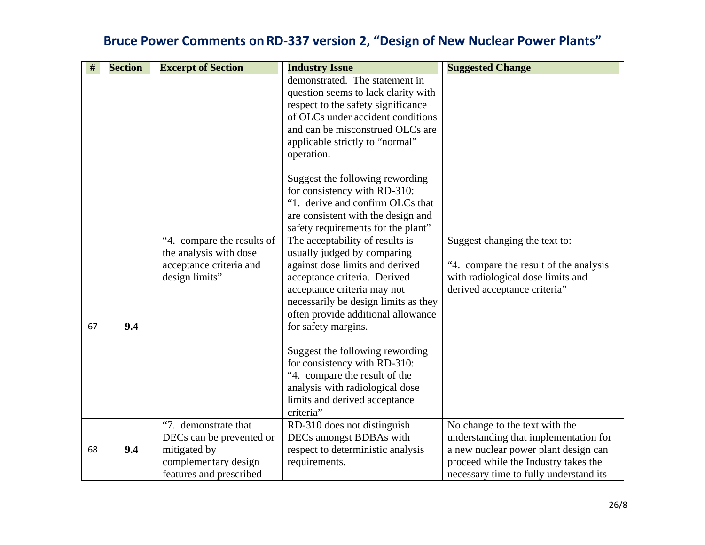| $\#$ | <b>Section</b> | <b>Excerpt of Section</b>                                                                                           | <b>Industry Issue</b>                                                                                                                                                                                                                                                                                                                                                                                                                                      | <b>Suggested Change</b>                                                                                                                                                                           |
|------|----------------|---------------------------------------------------------------------------------------------------------------------|------------------------------------------------------------------------------------------------------------------------------------------------------------------------------------------------------------------------------------------------------------------------------------------------------------------------------------------------------------------------------------------------------------------------------------------------------------|---------------------------------------------------------------------------------------------------------------------------------------------------------------------------------------------------|
|      |                |                                                                                                                     | demonstrated. The statement in<br>question seems to lack clarity with<br>respect to the safety significance<br>of OLCs under accident conditions<br>and can be misconstrued OLCs are<br>applicable strictly to "normal"<br>operation.                                                                                                                                                                                                                      |                                                                                                                                                                                                   |
|      |                |                                                                                                                     | Suggest the following rewording<br>for consistency with RD-310:<br>"1. derive and confirm OLCs that<br>are consistent with the design and<br>safety requirements for the plant"                                                                                                                                                                                                                                                                            |                                                                                                                                                                                                   |
| 67   | 9.4            | "4. compare the results of<br>the analysis with dose<br>acceptance criteria and<br>design limits"                   | The acceptability of results is<br>usually judged by comparing<br>against dose limits and derived<br>acceptance criteria. Derived<br>acceptance criteria may not<br>necessarily be design limits as they<br>often provide additional allowance<br>for safety margins.<br>Suggest the following rewording<br>for consistency with RD-310:<br>"4. compare the result of the<br>analysis with radiological dose<br>limits and derived acceptance<br>criteria" | Suggest changing the text to:<br>"4. compare the result of the analysis<br>with radiological dose limits and<br>derived acceptance criteria"                                                      |
| 68   | 9.4            | "7. demonstrate that<br>DECs can be prevented or<br>mitigated by<br>complementary design<br>features and prescribed | RD-310 does not distinguish<br>DECs amongst BDBAs with<br>respect to deterministic analysis<br>requirements.                                                                                                                                                                                                                                                                                                                                               | No change to the text with the<br>understanding that implementation for<br>a new nuclear power plant design can<br>proceed while the Industry takes the<br>necessary time to fully understand its |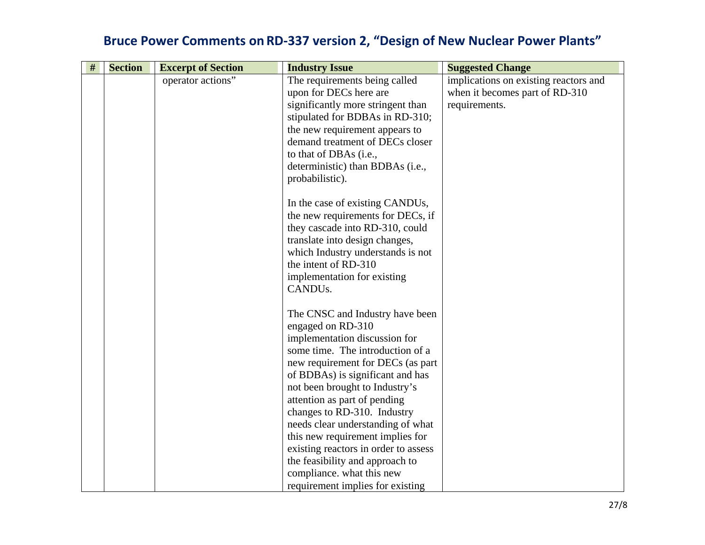| # | <b>Section</b> | <b>Excerpt of Section</b> | <b>Industry Issue</b>                | <b>Suggested Change</b>               |
|---|----------------|---------------------------|--------------------------------------|---------------------------------------|
|   |                | operator actions"         | The requirements being called        | implications on existing reactors and |
|   |                |                           | upon for DECs here are               | when it becomes part of RD-310        |
|   |                |                           | significantly more stringent than    | requirements.                         |
|   |                |                           | stipulated for BDBAs in RD-310;      |                                       |
|   |                |                           | the new requirement appears to       |                                       |
|   |                |                           | demand treatment of DECs closer      |                                       |
|   |                |                           | to that of DBAs (i.e.,               |                                       |
|   |                |                           | deterministic) than BDBAs (i.e.,     |                                       |
|   |                |                           | probabilistic).                      |                                       |
|   |                |                           | In the case of existing CANDUs,      |                                       |
|   |                |                           | the new requirements for DECs, if    |                                       |
|   |                |                           | they cascade into RD-310, could      |                                       |
|   |                |                           | translate into design changes,       |                                       |
|   |                |                           | which Industry understands is not    |                                       |
|   |                |                           | the intent of RD-310                 |                                       |
|   |                |                           | implementation for existing          |                                       |
|   |                |                           | CANDU <sub>s</sub> .                 |                                       |
|   |                |                           | The CNSC and Industry have been      |                                       |
|   |                |                           | engaged on RD-310                    |                                       |
|   |                |                           | implementation discussion for        |                                       |
|   |                |                           | some time. The introduction of a     |                                       |
|   |                |                           | new requirement for DECs (as part    |                                       |
|   |                |                           | of BDBAs) is significant and has     |                                       |
|   |                |                           | not been brought to Industry's       |                                       |
|   |                |                           | attention as part of pending         |                                       |
|   |                |                           | changes to RD-310. Industry          |                                       |
|   |                |                           | needs clear understanding of what    |                                       |
|   |                |                           | this new requirement implies for     |                                       |
|   |                |                           | existing reactors in order to assess |                                       |
|   |                |                           | the feasibility and approach to      |                                       |
|   |                |                           | compliance. what this new            |                                       |
|   |                |                           | requirement implies for existing     |                                       |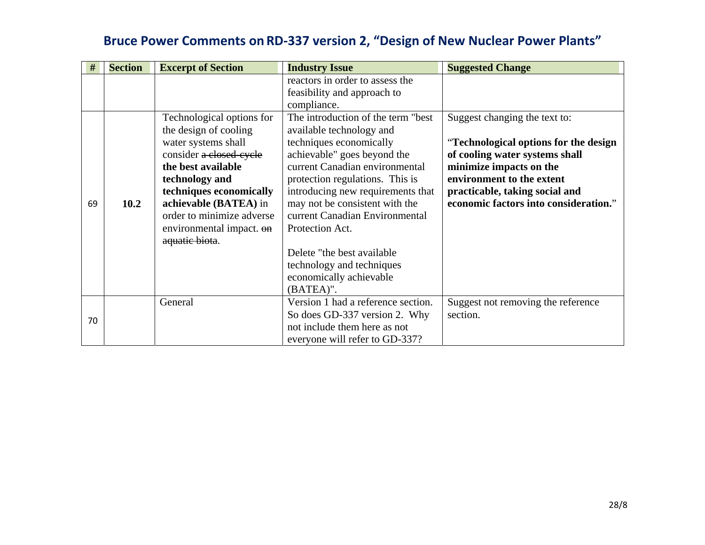| #  | <b>Section</b> | <b>Excerpt of Section</b> | <b>Industry Issue</b>                                          | <b>Suggested Change</b>               |
|----|----------------|---------------------------|----------------------------------------------------------------|---------------------------------------|
|    |                |                           | reactors in order to assess the<br>feasibility and approach to |                                       |
|    |                |                           | compliance.                                                    |                                       |
|    |                | Technological options for | The introduction of the term "best"                            | Suggest changing the text to:         |
|    |                | the design of cooling     | available technology and                                       |                                       |
|    |                | water systems shall       | techniques economically                                        | "Technological options for the design |
|    |                | consider a closed-cycle   | achievable" goes beyond the                                    | of cooling water systems shall        |
|    |                | the best available        | current Canadian environmental                                 | minimize impacts on the               |
|    |                | technology and            | protection regulations. This is                                | environment to the extent             |
|    |                | techniques economically   | introducing new requirements that                              | practicable, taking social and        |
| 69 | 10.2           | achievable (BATEA) in     | may not be consistent with the                                 | economic factors into consideration." |
|    |                | order to minimize adverse | current Canadian Environmental                                 |                                       |
|    |                | environmental impact. on  | Protection Act.                                                |                                       |
|    |                | aquatic biota.            |                                                                |                                       |
|    |                |                           | Delete "the best available"                                    |                                       |
|    |                |                           | technology and techniques                                      |                                       |
|    |                |                           | economically achievable                                        |                                       |
|    |                |                           | (BATEA)".                                                      |                                       |
|    |                | General                   | Version 1 had a reference section.                             | Suggest not removing the reference    |
| 70 |                |                           | So does GD-337 version 2. Why                                  | section.                              |
|    |                |                           | not include them here as not                                   |                                       |
|    |                |                           | everyone will refer to GD-337?                                 |                                       |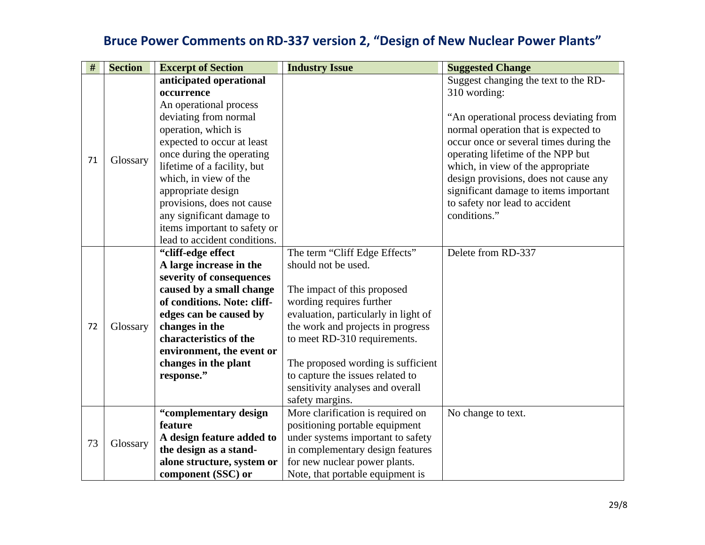| $\#$ | <b>Section</b> | <b>Excerpt of Section</b>    | <b>Industry Issue</b>                | <b>Suggested Change</b>                |
|------|----------------|------------------------------|--------------------------------------|----------------------------------------|
|      |                | anticipated operational      |                                      | Suggest changing the text to the RD-   |
|      |                | occurrence                   |                                      | 310 wording:                           |
|      |                | An operational process       |                                      |                                        |
|      |                | deviating from normal        |                                      | "An operational process deviating from |
|      |                | operation, which is          |                                      | normal operation that is expected to   |
|      |                | expected to occur at least   |                                      | occur once or several times during the |
| 71   | Glossary       | once during the operating    |                                      | operating lifetime of the NPP but      |
|      |                | lifetime of a facility, but  |                                      | which, in view of the appropriate      |
|      |                | which, in view of the        |                                      | design provisions, does not cause any  |
|      |                | appropriate design           |                                      | significant damage to items important  |
|      |                | provisions, does not cause   |                                      | to safety nor lead to accident         |
|      |                | any significant damage to    |                                      | conditions."                           |
|      |                | items important to safety or |                                      |                                        |
|      |                | lead to accident conditions. |                                      |                                        |
|      |                | "cliff-edge effect           | The term "Cliff Edge Effects"        | Delete from RD-337                     |
|      |                | A large increase in the      | should not be used.                  |                                        |
|      |                | severity of consequences     |                                      |                                        |
|      |                | caused by a small change     | The impact of this proposed          |                                        |
|      |                | of conditions. Note: cliff-  | wording requires further             |                                        |
|      |                | edges can be caused by       | evaluation, particularly in light of |                                        |
| 72   | Glossary       | changes in the               | the work and projects in progress    |                                        |
|      |                | characteristics of the       | to meet RD-310 requirements.         |                                        |
|      |                | environment, the event or    |                                      |                                        |
|      |                | changes in the plant         | The proposed wording is sufficient   |                                        |
|      |                | response."                   | to capture the issues related to     |                                        |
|      |                |                              | sensitivity analyses and overall     |                                        |
|      |                |                              | safety margins.                      |                                        |
|      |                | "complementary design        | More clarification is required on    | No change to text.                     |
|      |                | feature                      | positioning portable equipment       |                                        |
| 73   | Glossary       | A design feature added to    | under systems important to safety    |                                        |
|      |                | the design as a stand-       | in complementary design features     |                                        |
|      |                | alone structure, system or   | for new nuclear power plants.        |                                        |
|      |                | component (SSC) or           | Note, that portable equipment is     |                                        |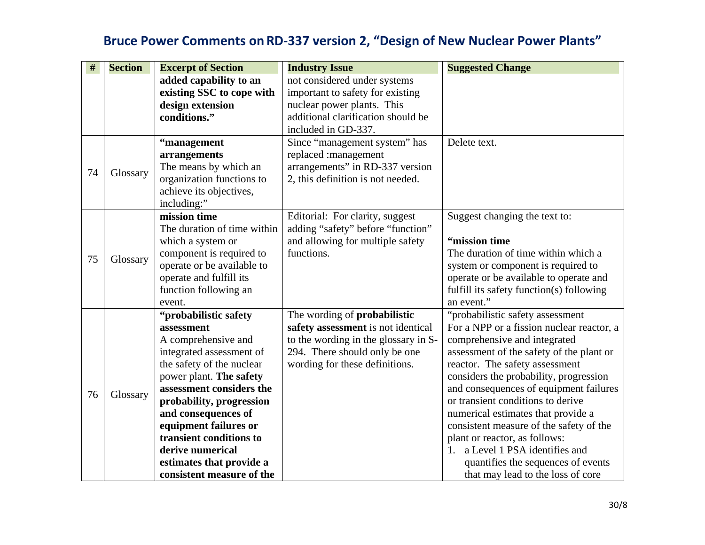| #  | <b>Section</b> | <b>Excerpt of Section</b>   | <b>Industry Issue</b>                | <b>Suggested Change</b>                   |
|----|----------------|-----------------------------|--------------------------------------|-------------------------------------------|
|    |                | added capability to an      | not considered under systems         |                                           |
|    |                | existing SSC to cope with   | important to safety for existing     |                                           |
|    |                | design extension            | nuclear power plants. This           |                                           |
|    |                | conditions."                | additional clarification should be   |                                           |
|    |                |                             | included in GD-337.                  |                                           |
|    |                | "management                 | Since "management system" has        | Delete text.                              |
|    |                | arrangements                | replaced :management                 |                                           |
| 74 |                | The means by which an       | arrangements" in RD-337 version      |                                           |
|    | Glossary       | organization functions to   | 2, this definition is not needed.    |                                           |
|    |                | achieve its objectives,     |                                      |                                           |
|    |                | including:"                 |                                      |                                           |
|    |                | mission time                | Editorial: For clarity, suggest      | Suggest changing the text to:             |
|    |                | The duration of time within | adding "safety" before "function"    |                                           |
|    |                | which a system or           | and allowing for multiple safety     | "mission time                             |
| 75 | Glossary       | component is required to    | functions.                           | The duration of time within which a       |
|    |                | operate or be available to  |                                      | system or component is required to        |
|    |                | operate and fulfill its     |                                      | operate or be available to operate and    |
|    |                | function following an       |                                      | fulfill its safety function(s) following  |
|    |                | event.                      |                                      | an event."                                |
|    |                | "probabilistic safety       | The wording of <b>probabilistic</b>  | "probabilistic safety assessment          |
|    |                | assessment                  | safety assessment is not identical   | For a NPP or a fission nuclear reactor, a |
|    |                | A comprehensive and         | to the wording in the glossary in S- | comprehensive and integrated              |
|    |                | integrated assessment of    | 294. There should only be one        | assessment of the safety of the plant or  |
|    |                | the safety of the nuclear   | wording for these definitions.       | reactor. The safety assessment            |
|    |                | power plant. The safety     |                                      | considers the probability, progression    |
| 76 | Glossary       | assessment considers the    |                                      | and consequences of equipment failures    |
|    |                | probability, progression    |                                      | or transient conditions to derive         |
|    |                | and consequences of         |                                      | numerical estimates that provide a        |
|    |                | equipment failures or       |                                      | consistent measure of the safety of the   |
|    |                | transient conditions to     |                                      | plant or reactor, as follows:             |
|    |                | derive numerical            |                                      | a Level 1 PSA identifies and<br>$1_{-}$   |
|    |                | estimates that provide a    |                                      | quantifies the sequences of events        |
|    |                | consistent measure of the   |                                      | that may lead to the loss of core         |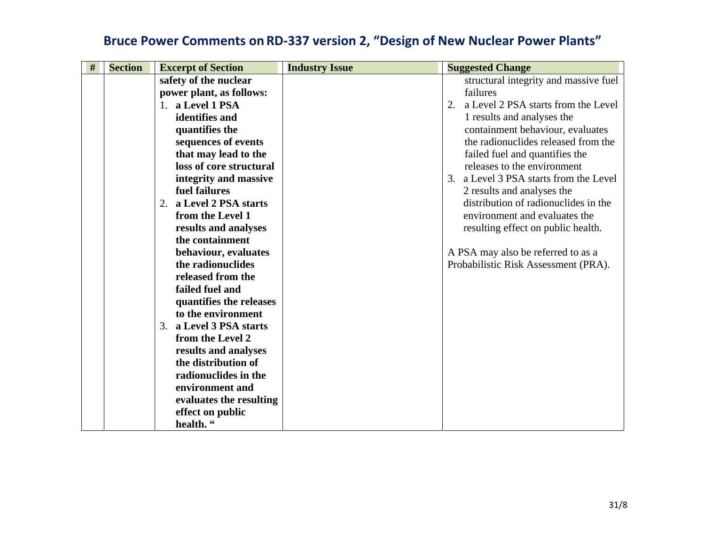| $\#$ | <b>Section</b> | <b>Excerpt of Section</b>     | <b>Industry Issue</b> | <b>Suggested Change</b>                   |
|------|----------------|-------------------------------|-----------------------|-------------------------------------------|
|      |                | safety of the nuclear         |                       | structural integrity and massive fuel     |
|      |                | power plant, as follows:      |                       | failures                                  |
|      |                | 1. a Level 1 PSA              |                       | a Level 2 PSA starts from the Level<br>2. |
|      |                | identifies and                |                       | 1 results and analyses the                |
|      |                | quantifies the                |                       | containment behaviour, evaluates          |
|      |                | sequences of events           |                       | the radionuclides released from the       |
|      |                | that may lead to the          |                       | failed fuel and quantifies the            |
|      |                | loss of core structural       |                       | releases to the environment               |
|      |                | integrity and massive         |                       | 3. a Level 3 PSA starts from the Level    |
|      |                | fuel failures                 |                       | 2 results and analyses the                |
|      |                | a Level 2 PSA starts<br>2.    |                       | distribution of radionuclides in the      |
|      |                | from the Level 1              |                       | environment and evaluates the             |
|      |                | results and analyses          |                       | resulting effect on public health.        |
|      |                | the containment               |                       |                                           |
|      |                | behaviour, evaluates          |                       | A PSA may also be referred to as a        |
|      |                | the radionuclides             |                       | Probabilistic Risk Assessment (PRA).      |
|      |                | released from the             |                       |                                           |
|      |                | failed fuel and               |                       |                                           |
|      |                | quantifies the releases       |                       |                                           |
|      |                | to the environment            |                       |                                           |
|      |                | 3. a Level 3 PSA starts       |                       |                                           |
|      |                | from the Level 2              |                       |                                           |
|      |                | results and analyses          |                       |                                           |
|      |                | the distribution of           |                       |                                           |
|      |                | radionuclides in the          |                       |                                           |
|      |                | environment and               |                       |                                           |
|      |                | evaluates the resulting       |                       |                                           |
|      |                | effect on public<br>health. " |                       |                                           |
|      |                |                               |                       |                                           |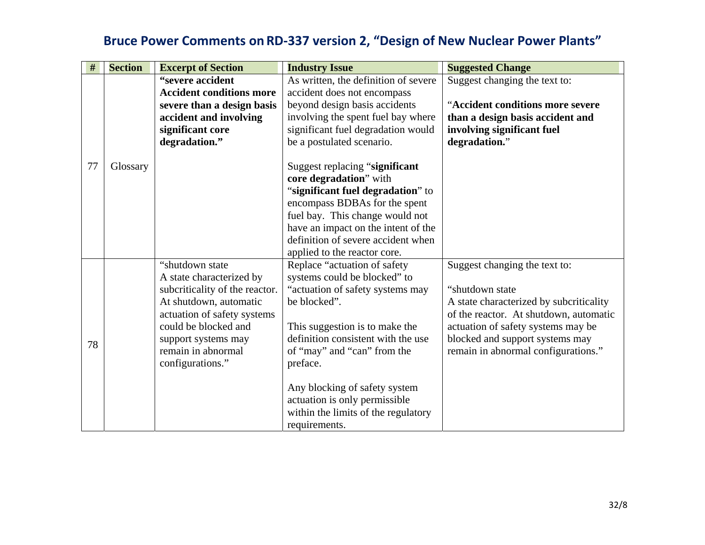| $\#$ | <b>Section</b> | <b>Excerpt of Section</b>       | <b>Industry Issue</b>                | <b>Suggested Change</b>                 |
|------|----------------|---------------------------------|--------------------------------------|-----------------------------------------|
|      |                | "severe accident                | As written, the definition of severe | Suggest changing the text to:           |
|      |                | <b>Accident conditions more</b> | accident does not encompass          |                                         |
|      |                | severe than a design basis      | beyond design basis accidents        | "Accident conditions more severe        |
|      |                | accident and involving          | involving the spent fuel bay where   | than a design basis accident and        |
|      |                | significant core                | significant fuel degradation would   | involving significant fuel              |
|      |                | degradation."                   | be a postulated scenario.            | degradation."                           |
|      |                |                                 |                                      |                                         |
| 77   | Glossary       |                                 | Suggest replacing "significant"      |                                         |
|      |                |                                 | core degradation" with               |                                         |
|      |                |                                 | "significant fuel degradation" to    |                                         |
|      |                |                                 | encompass BDBAs for the spent        |                                         |
|      |                |                                 | fuel bay. This change would not      |                                         |
|      |                |                                 | have an impact on the intent of the  |                                         |
|      |                |                                 | definition of severe accident when   |                                         |
|      |                |                                 | applied to the reactor core.         |                                         |
|      |                | "shutdown state"                | Replace "actuation of safety         | Suggest changing the text to:           |
|      |                | A state characterized by        | systems could be blocked" to         |                                         |
|      |                | subcriticality of the reactor.  | "actuation of safety systems may     | "shutdown state                         |
|      |                | At shutdown, automatic          | be blocked".                         | A state characterized by subcriticality |
|      |                | actuation of safety systems     |                                      | of the reactor. At shutdown, automatic  |
|      |                | could be blocked and            | This suggestion is to make the       | actuation of safety systems may be      |
| 78   |                | support systems may             | definition consistent with the use   | blocked and support systems may         |
|      |                | remain in abnormal              | of "may" and "can" from the          | remain in abnormal configurations."     |
|      |                | configurations."                | preface.                             |                                         |
|      |                |                                 | Any blocking of safety system        |                                         |
|      |                |                                 | actuation is only permissible        |                                         |
|      |                |                                 | within the limits of the regulatory  |                                         |
|      |                |                                 | requirements.                        |                                         |